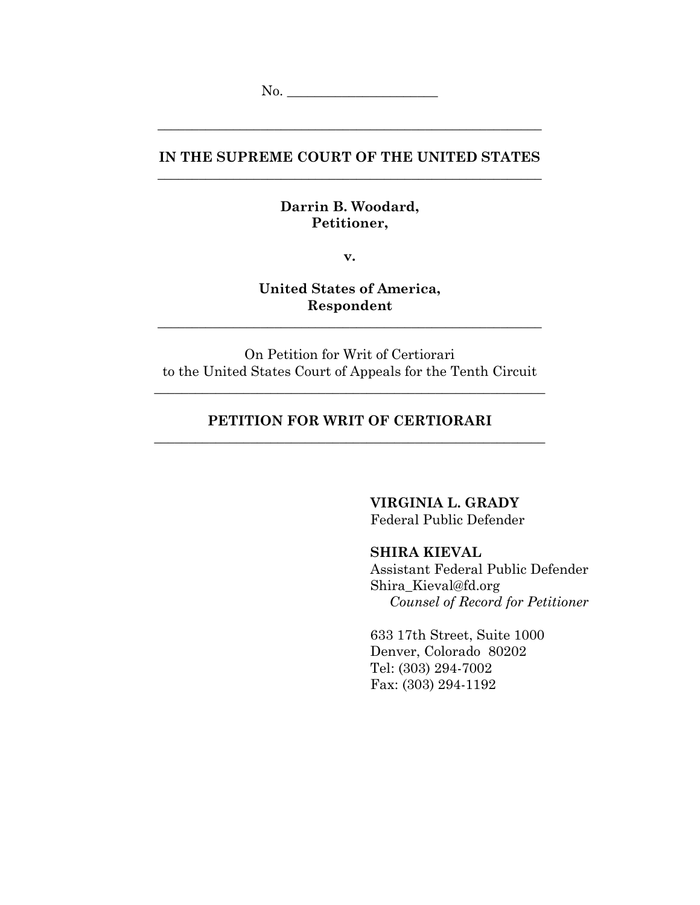# **IN THE SUPREME COURT OF THE UNITED STATES** \_\_\_\_\_\_\_\_\_\_\_\_\_\_\_\_\_\_\_\_\_\_\_\_\_\_\_\_\_\_\_\_\_\_\_\_\_\_\_\_\_\_\_\_\_\_\_\_\_\_\_\_\_\_\_\_

\_\_\_\_\_\_\_\_\_\_\_\_\_\_\_\_\_\_\_\_\_\_\_\_\_\_\_\_\_\_\_\_\_\_\_\_\_\_\_\_\_\_\_\_\_\_\_\_\_\_\_\_\_\_\_\_

## **Darrin B. Woodard, Petitioner,**

**v.**

**United States of America, Respondent**

\_\_\_\_\_\_\_\_\_\_\_\_\_\_\_\_\_\_\_\_\_\_\_\_\_\_\_\_\_\_\_\_\_\_\_\_\_\_\_\_\_\_\_\_\_\_\_\_\_\_\_\_\_\_\_\_

On Petition for Writ of Certiorari to the United States Court of Appeals for the Tenth Circuit

\_\_\_\_\_\_\_\_\_\_\_\_\_\_\_\_\_\_\_\_\_\_\_\_\_\_\_\_\_\_\_\_\_\_\_\_\_\_\_\_\_\_\_\_\_\_\_\_\_\_\_\_\_\_\_\_\_

# **PETITION FOR WRIT OF CERTIORARI** \_\_\_\_\_\_\_\_\_\_\_\_\_\_\_\_\_\_\_\_\_\_\_\_\_\_\_\_\_\_\_\_\_\_\_\_\_\_\_\_\_\_\_\_\_\_\_\_\_\_\_\_\_\_\_\_\_

**VIRGINIA L. GRADY**

Federal Public Defender

## **SHIRA KIEVAL**

Assistant Federal Public Defender Shira\_Kieval@fd.org *Counsel of Record for Petitioner*

633 17th Street, Suite 1000 Denver, Colorado 80202 Tel: (303) 294-7002 Fax: (303) 294-1192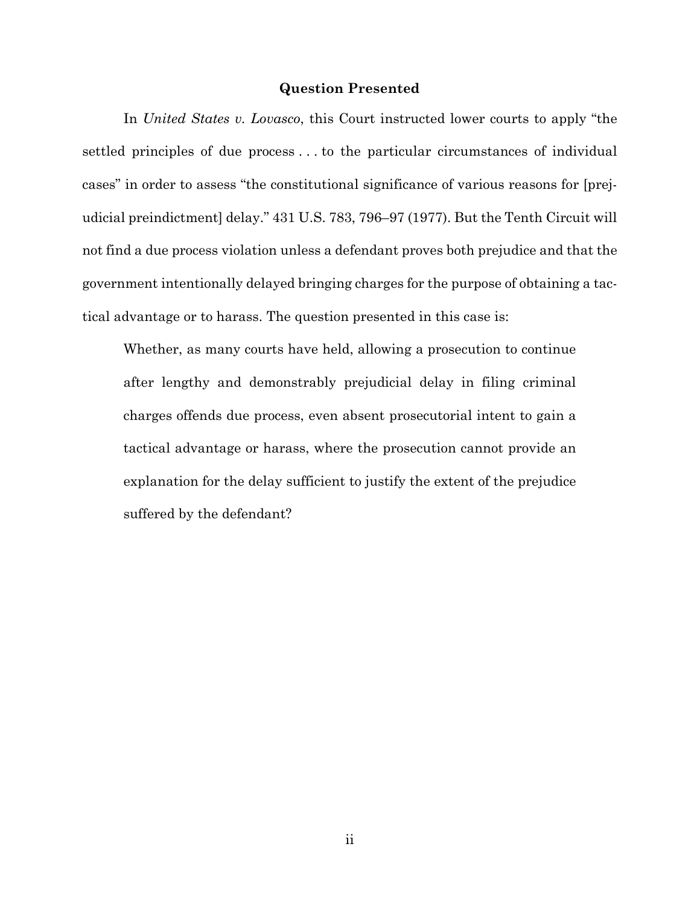#### **Question Presented**

<span id="page-1-0"></span>In *United States v. Lovasco*, this Court instructed lower courts to apply "the settled principles of due process . . . to the particular circumstances of individual cases" in order to assess "the constitutional significance of various reasons for [prejudicial preindictment] delay." 431 U.S. 783, 796–97 (1977). But the Tenth Circuit will not find a due process violation unless a defendant proves both prejudice and that the government intentionally delayed bringing charges for the purpose of obtaining a tactical advantage or to harass. The question presented in this case is:

Whether, as many courts have held, allowing a prosecution to continue after lengthy and demonstrably prejudicial delay in filing criminal charges offends due process, even absent prosecutorial intent to gain a tactical advantage or harass, where the prosecution cannot provide an explanation for the delay sufficient to justify the extent of the prejudice suffered by the defendant?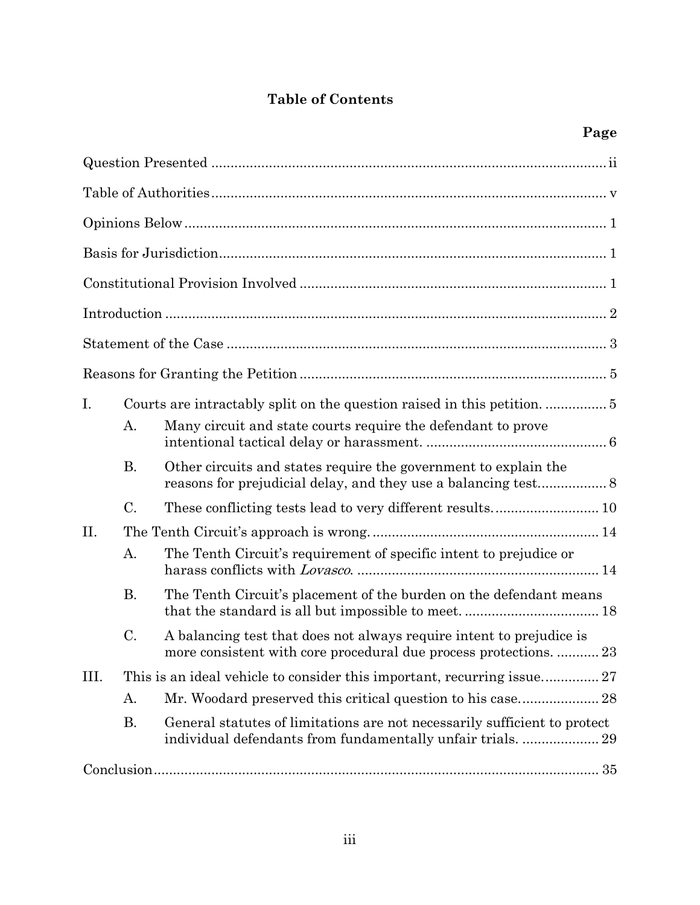# **Table of Contents**

| I.   |           |                                                                                                                                           |  |
|------|-----------|-------------------------------------------------------------------------------------------------------------------------------------------|--|
|      | A.        | Many circuit and state courts require the defendant to prove                                                                              |  |
|      | <b>B.</b> | Other circuits and states require the government to explain the                                                                           |  |
|      | C.        |                                                                                                                                           |  |
| II.  |           |                                                                                                                                           |  |
|      | A.        | The Tenth Circuit's requirement of specific intent to prejudice or                                                                        |  |
|      | <b>B.</b> | The Tenth Circuit's placement of the burden on the defendant means                                                                        |  |
|      | C.        | A balancing test that does not always require intent to prejudice is<br>more consistent with core procedural due process protections.  23 |  |
| III. |           |                                                                                                                                           |  |
|      | А.        |                                                                                                                                           |  |
|      | <b>B.</b> | General statutes of limitations are not necessarily sufficient to protect<br>individual defendants from fundamentally unfair trials.  29  |  |
|      |           |                                                                                                                                           |  |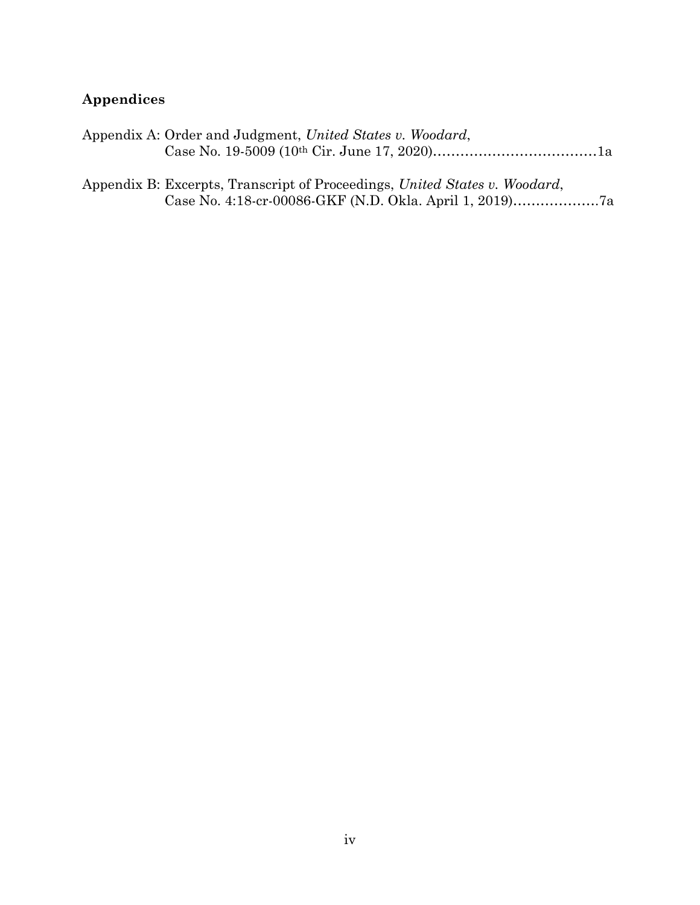# **Appendices**

| Appendix A: Order and Judgment, United States v. Woodard, |  |  |
|-----------------------------------------------------------|--|--|
|                                                           |  |  |

Appendix B: Excerpts, Transcript of Proceedings, *United States v. Woodard*, Case No. 4:18-cr-00086-GKF (N.D. Okla. April 1, 2019)……………….7a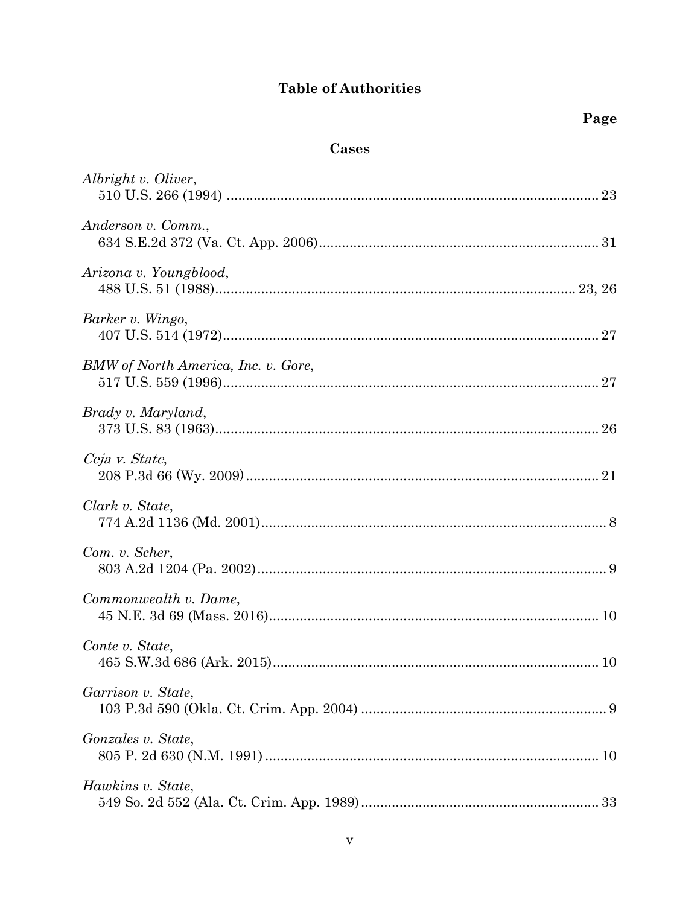# **Table of Authorities**

# Cases

<span id="page-4-0"></span>

| Albright v. Oliver,                 |  |
|-------------------------------------|--|
| Anderson v. Comm.,                  |  |
| Arizona v. Youngblood,              |  |
| Barker v. Wingo,                    |  |
| BMW of North America, Inc. v. Gore, |  |
| Brady v. Maryland,                  |  |
| Ceja v. State,                      |  |
| Clark v. State,                     |  |
| Com. v. Scher,                      |  |
| Commonwealth v. Dame,               |  |
| Conte v. State,                     |  |
| Garrison v. State,                  |  |
| Gonzales v. State,                  |  |
| Hawkins v. State,                   |  |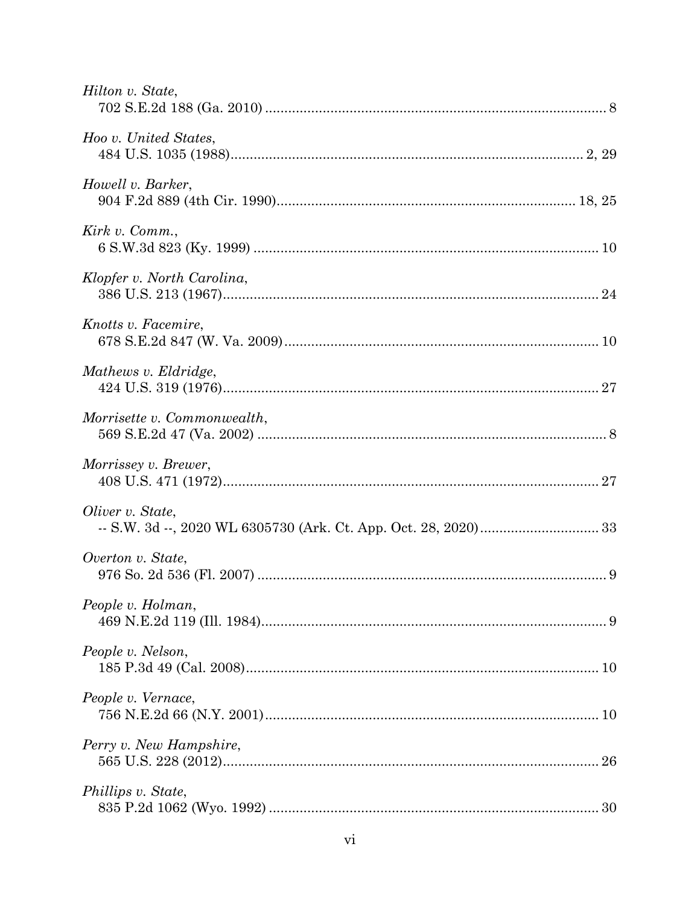| Hilton v. State,            |
|-----------------------------|
| Hoo v. United States,       |
| Howell v. Barker,           |
| Kirk v. Comm.,              |
| Klopfer v. North Carolina,  |
| Knotts v. Facemire,         |
| Mathews v. Eldridge,        |
| Morrisette v. Commonwealth, |
| Morrissey v. Brewer,        |
| Oliver v. State,            |
| Overton v. State,           |
| People v. Holman,           |
| People v. Nelson,           |
| People v. Vernace,          |
| Perry v. New Hampshire,     |
| Phillips v. State,          |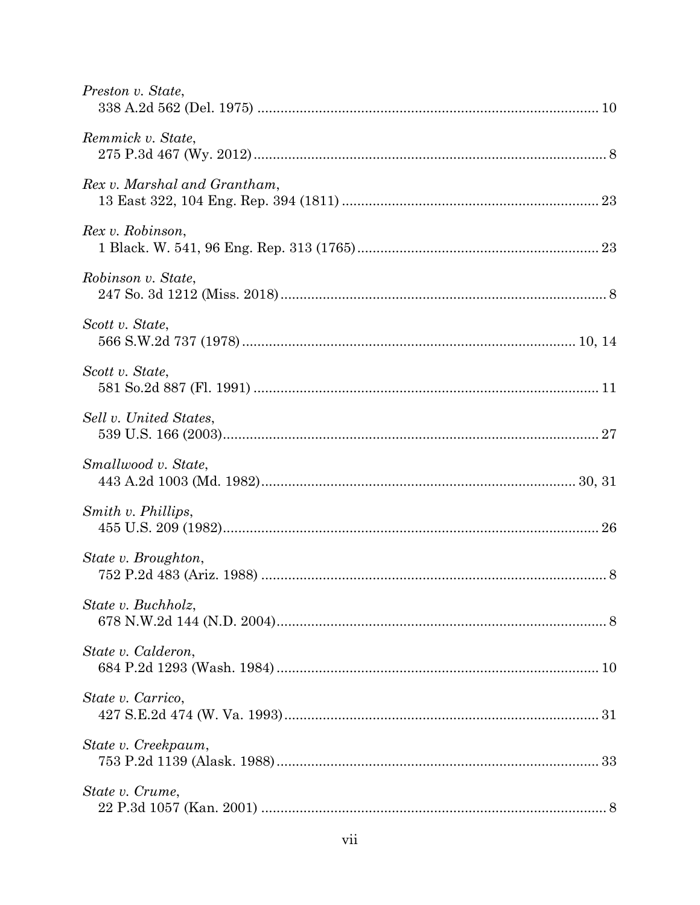| Preston v. State,            |  |
|------------------------------|--|
| Remmick v. State,            |  |
| Rex v. Marshal and Grantham, |  |
| Rex v. Robinson,             |  |
| Robinson v. State,           |  |
| Scott v. State,              |  |
| Scott v. State,              |  |
| Sell v. United States,       |  |
| Smallwood v. State,          |  |
| Smith v. Phillips,           |  |
| State v. Broughton,          |  |
| State v. Buchholz,           |  |
| State v. Calderon,           |  |
| State v. Carrico,            |  |
| State v. Creekpaum,          |  |
| State v. Crume,              |  |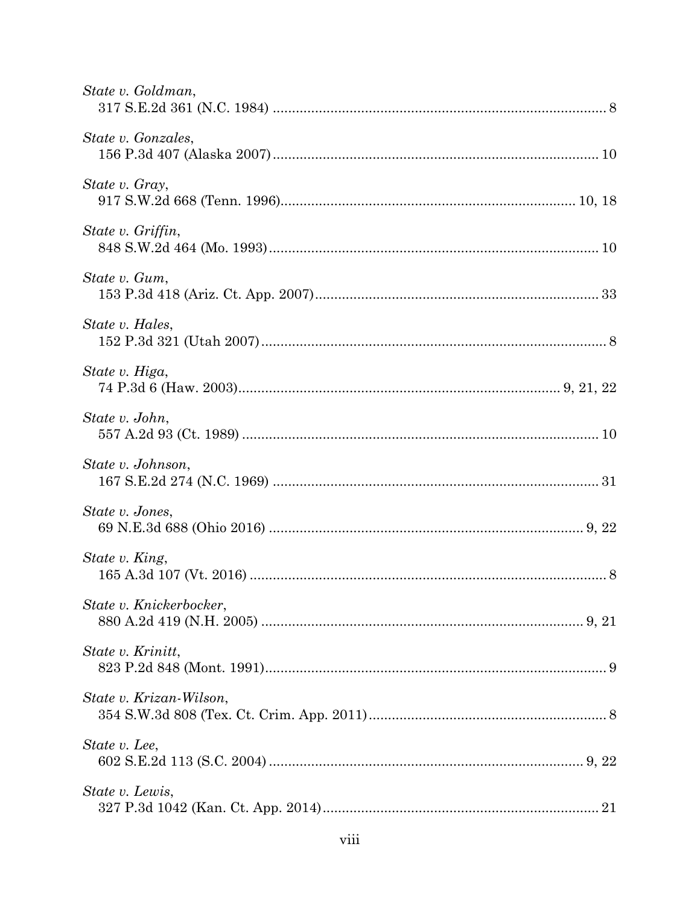| State v. Goldman,       |  |
|-------------------------|--|
| State v. Gonzales,      |  |
| State v. Gray,          |  |
| State v. Griffin,       |  |
| State v. Gum,           |  |
| State v. Hales,         |  |
| State v. Higa,          |  |
| State v. John,          |  |
| State v. Johnson,       |  |
| State v. Jones,         |  |
| State v. King,          |  |
| State v. Knickerbocker, |  |
| State v. Krinitt,       |  |
| State v. Krizan-Wilson, |  |
| State v. Lee,           |  |
| State v. Lewis,         |  |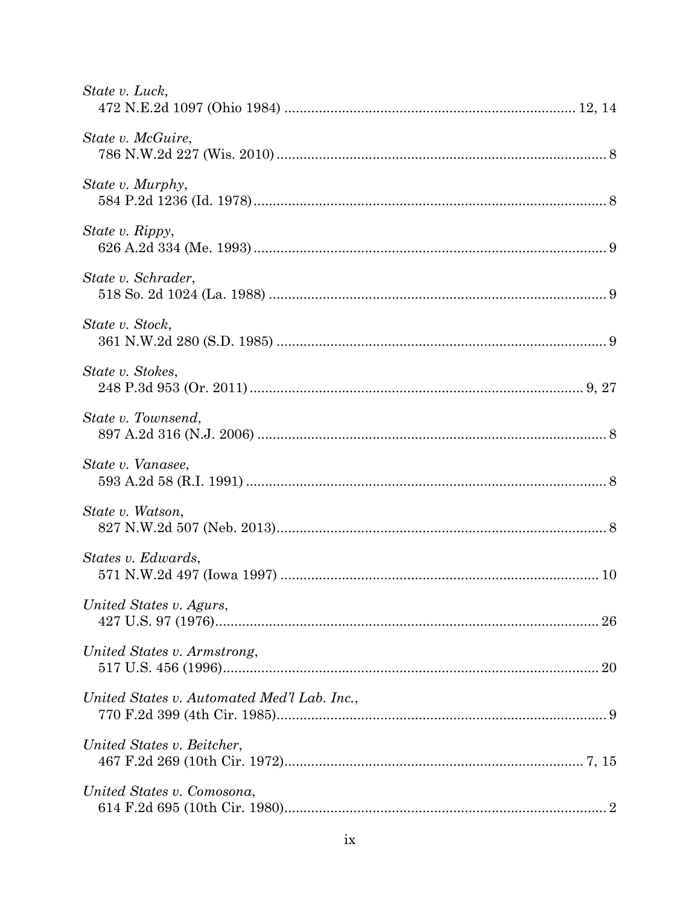| State v. Luck,                              |
|---------------------------------------------|
| State v. McGuire,                           |
| State v. Murphy,                            |
| State v. Rippy,                             |
| State v. Schrader,                          |
| State v. Stock,                             |
| State v. Stokes,                            |
| State v. Townsend,                          |
| State v. Vanasee,                           |
| State v. Watson,                            |
| States v. Edwards,                          |
| United States v. Agurs,                     |
| United States v. Armstrong,                 |
| United States v. Automated Med'l Lab. Inc., |
| United States v. Beitcher,                  |
| United States v. Comosona,                  |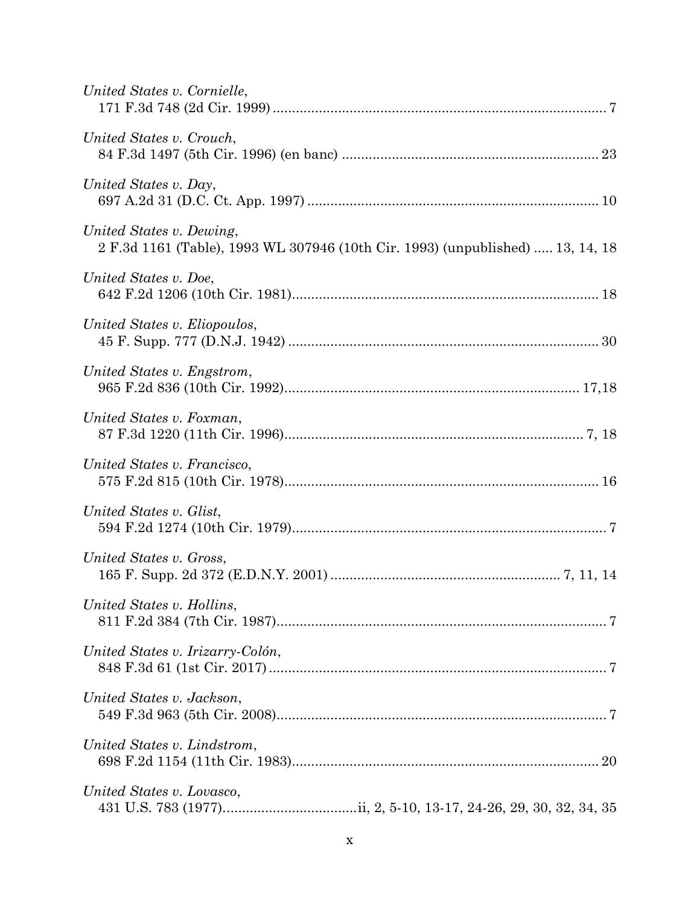| United States v. Cornielle,                                                                                |
|------------------------------------------------------------------------------------------------------------|
| United States v. Crouch,                                                                                   |
| United States v. Day,                                                                                      |
| United States v. Dewing,<br>2 F.3d 1161 (Table), 1993 WL 307946 (10th Cir. 1993) (unpublished)  13, 14, 18 |
| United States v. Doe,                                                                                      |
| United States v. Eliopoulos,                                                                               |
| United States v. Engstrom,                                                                                 |
| United States v. Foxman,                                                                                   |
| United States v. Francisco,                                                                                |
| United States v. Glist,                                                                                    |
| United States v. Gross,                                                                                    |
| United States v. Hollins,                                                                                  |
| United States v. Irizarry-Colón,                                                                           |
| United States v. Jackson,                                                                                  |
| United States v. Lindstrom,                                                                                |
| United States v. Lovasco,                                                                                  |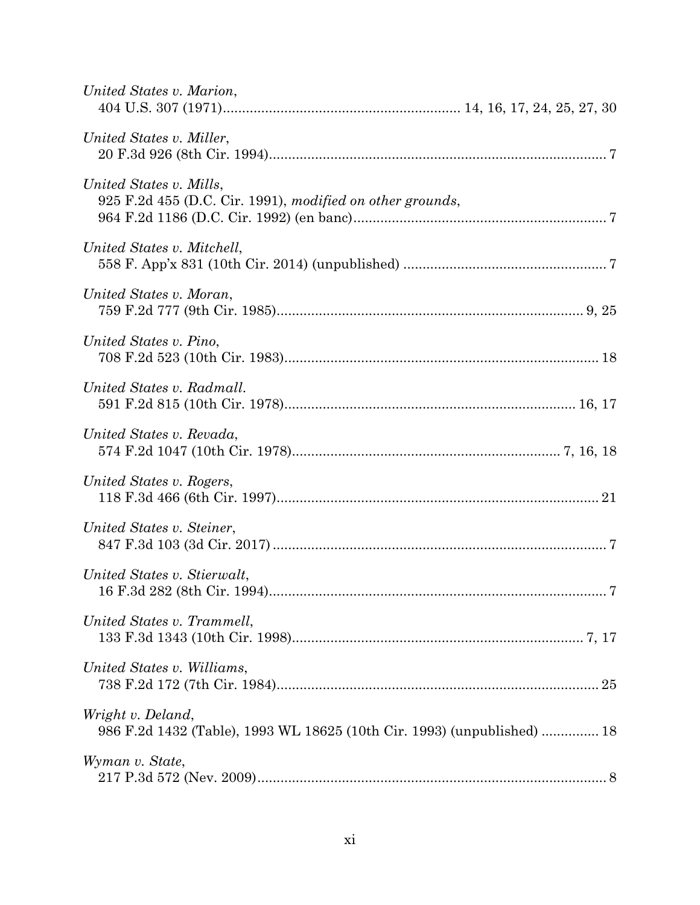| United States v. Marion,                                                                     |
|----------------------------------------------------------------------------------------------|
| United States v. Miller,                                                                     |
| United States v. Mills,<br>925 F.2d 455 (D.C. Cir. 1991), modified on other grounds,         |
| United States v. Mitchell,                                                                   |
| United States v. Moran,                                                                      |
| United States v. Pino,                                                                       |
| United States v. Radmall.                                                                    |
| United States v. Revada,                                                                     |
| United States v. Rogers,                                                                     |
| United States v. Steiner,                                                                    |
| United States v. Stierwalt,                                                                  |
| United States v. Trammell,                                                                   |
| United States v. Williams,                                                                   |
| Wright v. Deland,<br>986 F.2d 1432 (Table), 1993 WL 18625 (10th Cir. 1993) (unpublished)  18 |
| Wyman v. State,                                                                              |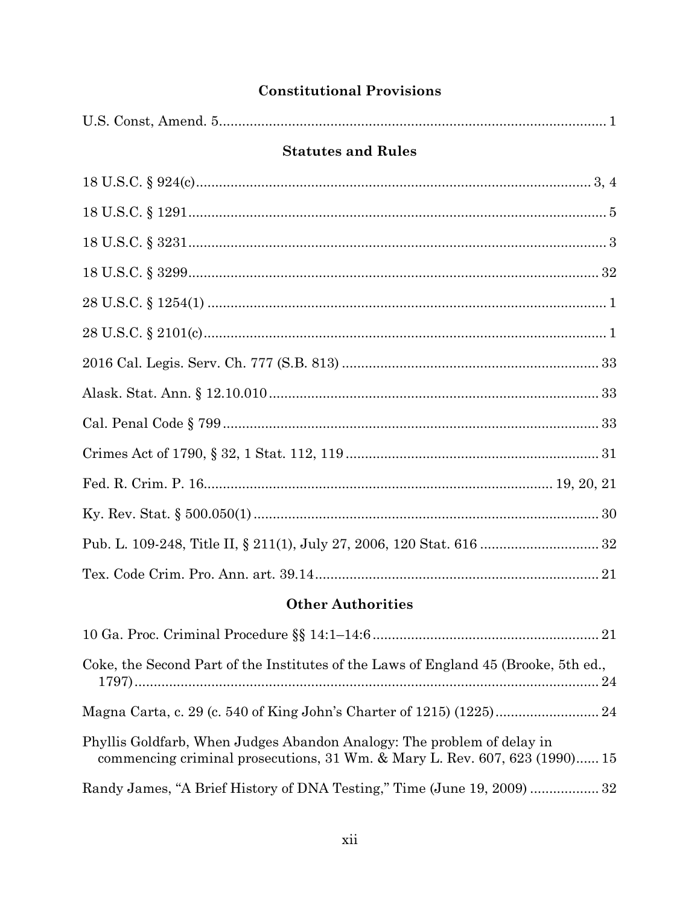# **Constitutional Provisions**

| <b>Statutes and Rules</b>                                                                                                                            |
|------------------------------------------------------------------------------------------------------------------------------------------------------|
|                                                                                                                                                      |
|                                                                                                                                                      |
|                                                                                                                                                      |
|                                                                                                                                                      |
|                                                                                                                                                      |
|                                                                                                                                                      |
|                                                                                                                                                      |
|                                                                                                                                                      |
|                                                                                                                                                      |
|                                                                                                                                                      |
|                                                                                                                                                      |
|                                                                                                                                                      |
|                                                                                                                                                      |
|                                                                                                                                                      |
| <b>Other Authorities</b>                                                                                                                             |
|                                                                                                                                                      |
| Coke, the Second Part of the Institutes of the Laws of England 45 (Brooke, 5th ed.,                                                                  |
|                                                                                                                                                      |
| Phyllis Goldfarb, When Judges Abandon Analogy: The problem of delay in<br>commencing criminal prosecutions, 31 Wm. & Mary L. Rev. 607, 623 (1990) 15 |

Randy James, "A Brief History of DNA Testing," Time (June 19, 2009) ................. 32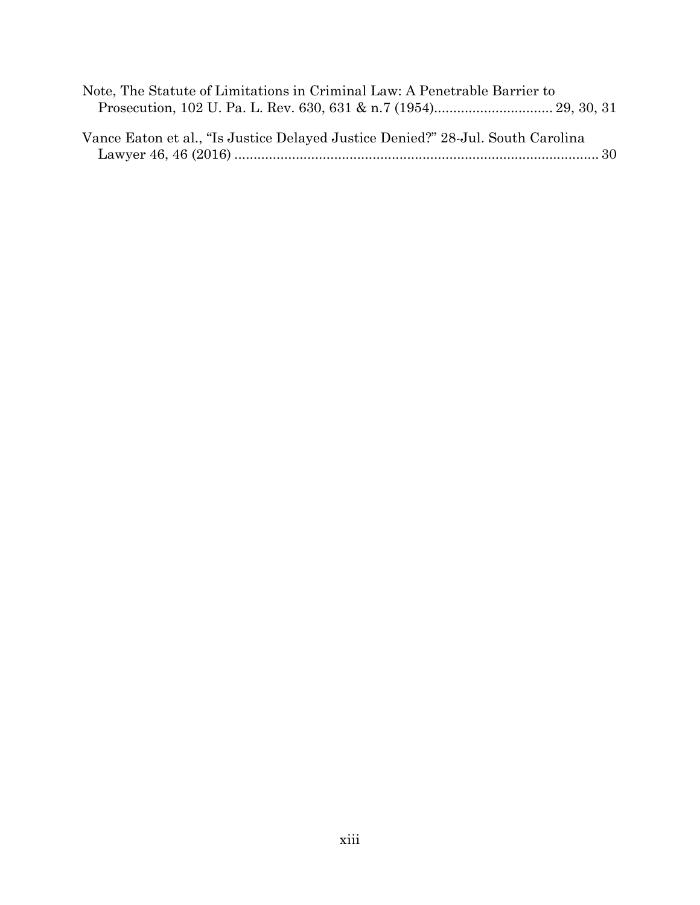| Note, The Statute of Limitations in Criminal Law: A Penetrable Barrier to       |  |  |
|---------------------------------------------------------------------------------|--|--|
|                                                                                 |  |  |
|                                                                                 |  |  |
| Vance Eaton et al., "Is Justice Delayed Justice Denied?" 28-Jul. South Carolina |  |  |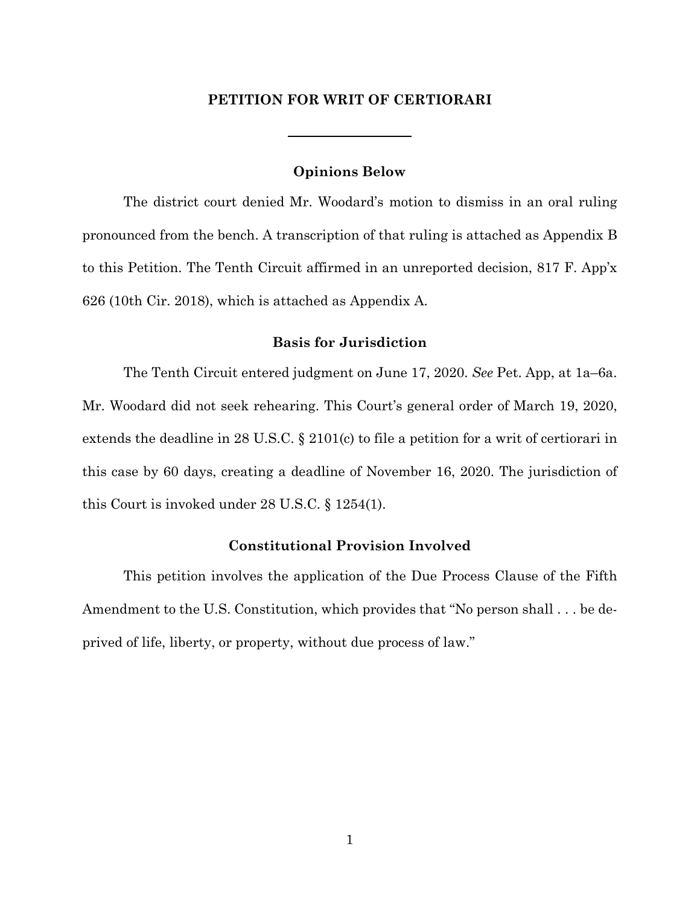## **PETITION FOR WRIT OF CERTIORARI**

## **Opinions Below**

<span id="page-13-0"></span>The district court denied Mr. Woodard's motion to dismiss in an oral ruling pronounced from the bench. A transcription of that ruling is attached as Appendix B to this Petition. The Tenth Circuit affirmed in an unreported decision, 817 F. App'x 626 (10th Cir. 2018), which is attached as Appendix A.

#### **Basis for Jurisdiction**

<span id="page-13-1"></span>The Tenth Circuit entered judgment on June 17, 2020. *See* Pet. App, at 1a–6a. Mr. Woodard did not seek rehearing. This Court's general order of March 19, 2020, extends the deadline in 28 U.S.C. § 2101(c) to file a petition for a writ of certiorari in this case by 60 days, creating a deadline of November 16, 2020. The jurisdiction of this Court is invoked under 28 U.S.C. § 1254(1).

## **Constitutional Provision Involved**

<span id="page-13-2"></span>This petition involves the application of the Due Process Clause of the Fifth Amendment to the U.S. Constitution, which provides that "No person shall . . . be deprived of life, liberty, or property, without due process of law."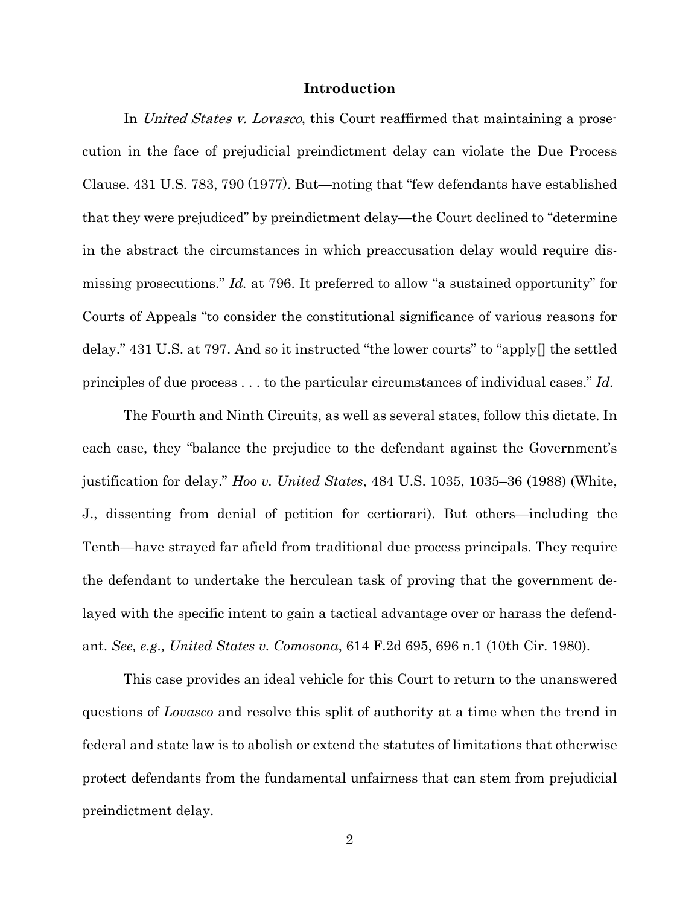#### **Introduction**

<span id="page-14-0"></span>In United States v. Lovasco, this Court reaffirmed that maintaining a prosecution in the face of prejudicial preindictment delay can violate the Due Process Clause. 431 U.S. 783, 790 (1977). But—noting that "few defendants have established that they were prejudiced" by preindictment delay—the Court declined to "determine in the abstract the circumstances in which preaccusation delay would require dismissing prosecutions." *Id.* at 796. It preferred to allow "a sustained opportunity" for Courts of Appeals "to consider the constitutional significance of various reasons for delay." 431 U.S. at 797. And so it instructed "the lower courts" to "apply[] the settled principles of due process . . . to the particular circumstances of individual cases." *Id.*

The Fourth and Ninth Circuits, as well as several states, follow this dictate. In each case, they "balance the prejudice to the defendant against the Government's justification for delay." *Hoo v. United States*, 484 U.S. 1035, 1035–36 (1988) (White, J., dissenting from denial of petition for certiorari). But others—including the Tenth—have strayed far afield from traditional due process principals. They require the defendant to undertake the herculean task of proving that the government delayed with the specific intent to gain a tactical advantage over or harass the defendant. *See, e.g., United States v. Comosona*, 614 F.2d 695, 696 n.1 (10th Cir. 1980).

This case provides an ideal vehicle for this Court to return to the unanswered questions of *Lovasco* and resolve this split of authority at a time when the trend in federal and state law is to abolish or extend the statutes of limitations that otherwise protect defendants from the fundamental unfairness that can stem from prejudicial preindictment delay.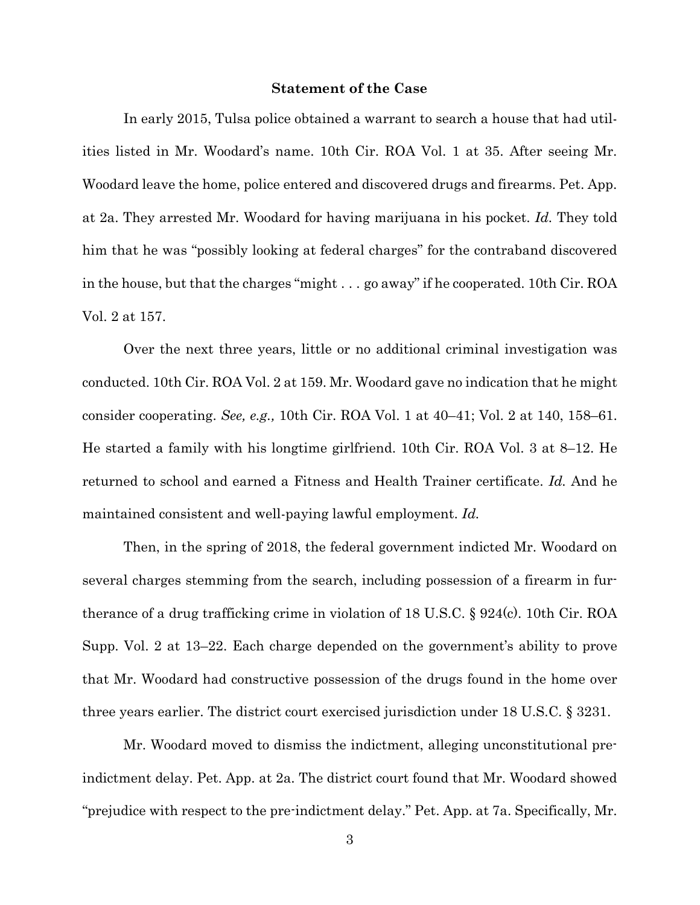#### **Statement of the Case**

<span id="page-15-0"></span>In early 2015, Tulsa police obtained a warrant to search a house that had utilities listed in Mr. Woodard's name. 10th Cir. ROA Vol. 1 at 35. After seeing Mr. Woodard leave the home, police entered and discovered drugs and firearms. Pet. App. at 2a. They arrested Mr. Woodard for having marijuana in his pocket. *Id.* They told him that he was "possibly looking at federal charges" for the contraband discovered in the house, but that the charges "might . . . go away" if he cooperated. 10th Cir. ROA Vol. 2 at 157.

Over the next three years, little or no additional criminal investigation was conducted. 10th Cir. ROA Vol. 2 at 159. Mr. Woodard gave no indication that he might consider cooperating. *See, e.g.,* 10th Cir. ROA Vol. 1 at 40–41; Vol. 2 at 140, 158–61. He started a family with his longtime girlfriend. 10th Cir. ROA Vol. 3 at 8–12. He returned to school and earned a Fitness and Health Trainer certificate. *Id.* And he maintained consistent and well-paying lawful employment. *Id.*

Then, in the spring of 2018, the federal government indicted Mr. Woodard on several charges stemming from the search, including possession of a firearm in furtherance of a drug trafficking crime in violation of 18 U.S.C. § 924(c). 10th Cir. ROA Supp. Vol. 2 at 13–22. Each charge depended on the government's ability to prove that Mr. Woodard had constructive possession of the drugs found in the home over three years earlier. The district court exercised jurisdiction under 18 U.S.C. § 3231.

Mr. Woodard moved to dismiss the indictment, alleging unconstitutional preindictment delay. Pet. App. at 2a. The district court found that Mr. Woodard showed "prejudice with respect to the pre-indictment delay." Pet. App. at 7a. Specifically, Mr.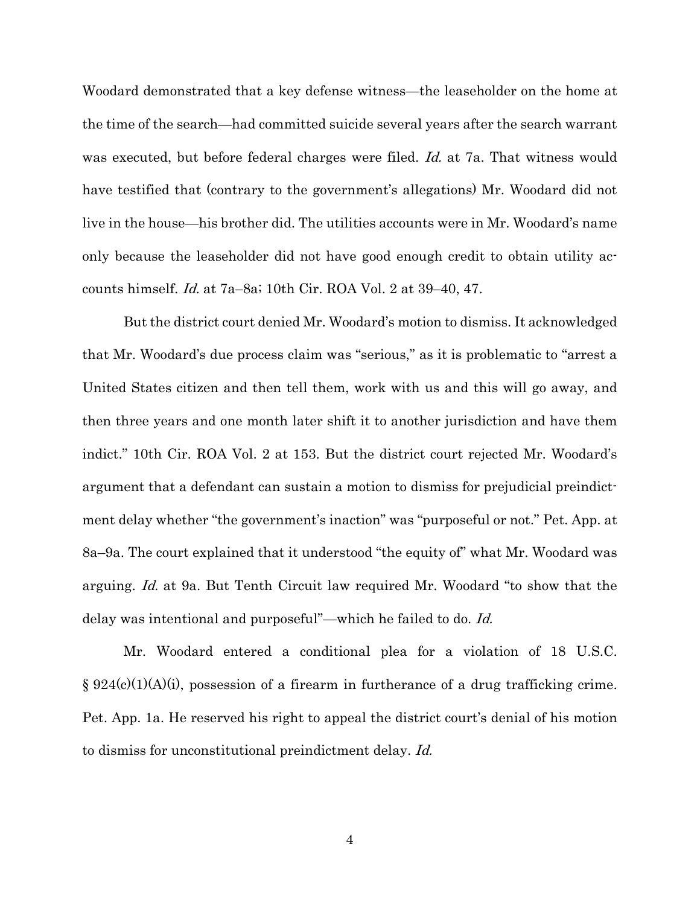Woodard demonstrated that a key defense witness—the leaseholder on the home at the time of the search—had committed suicide several years after the search warrant was executed, but before federal charges were filed. Id. at 7a. That witness would have testified that (contrary to the government's allegations) Mr. Woodard did not live in the house—his brother did. The utilities accounts were in Mr. Woodard's name only because the leaseholder did not have good enough credit to obtain utility accounts himself. Id. at 7a–8a; 10th Cir. ROA Vol. 2 at 39–40, 47.

But the district court denied Mr. Woodard's motion to dismiss. It acknowledged that Mr. Woodard's due process claim was "serious," as it is problematic to "arrest a United States citizen and then tell them, work with us and this will go away, and then three years and one month later shift it to another jurisdiction and have them indict." 10th Cir. ROA Vol. 2 at 153. But the district court rejected Mr. Woodard's argument that a defendant can sustain a motion to dismiss for prejudicial preindictment delay whether "the government's inaction" was "purposeful or not." Pet. App. at 8a–9a. The court explained that it understood "the equity of" what Mr. Woodard was arguing. Id. at 9a. But Tenth Circuit law required Mr. Woodard "to show that the delay was intentional and purposeful"—which he failed to do. Id.

Mr. Woodard entered a conditional plea for a violation of 18 U.S.C.  $\S 924(c)(1)(A)(i)$ , possession of a firearm in furtherance of a drug trafficking crime. Pet. App. 1a. He reserved his right to appeal the district court's denial of his motion to dismiss for unconstitutional preindictment delay. Id.

4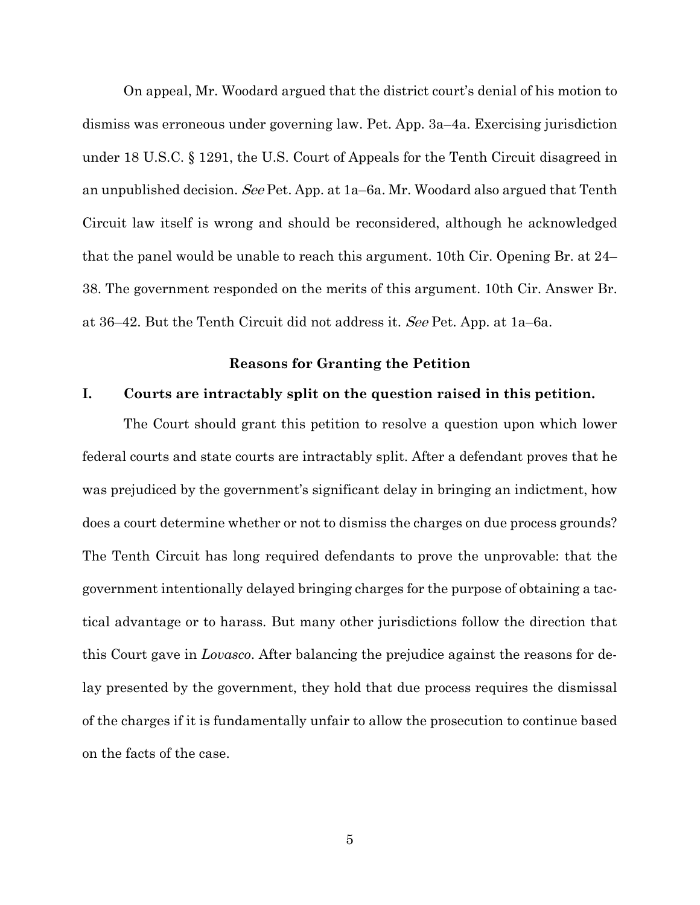On appeal, Mr. Woodard argued that the district court's denial of his motion to dismiss was erroneous under governing law. Pet. App. 3a–4a. Exercising jurisdiction under 18 U.S.C. § 1291, the U.S. Court of Appeals for the Tenth Circuit disagreed in an unpublished decision. See Pet. App. at 1a–6a. Mr. Woodard also argued that Tenth Circuit law itself is wrong and should be reconsidered, although he acknowledged that the panel would be unable to reach this argument. 10th Cir. Opening Br. at 24– 38. The government responded on the merits of this argument. 10th Cir. Answer Br. at 36–42. But the Tenth Circuit did not address it. See Pet. App. at 1a–6a.

#### **Reasons for Granting the Petition**

### <span id="page-17-1"></span><span id="page-17-0"></span>**I. Courts are intractably split on the question raised in this petition.**

The Court should grant this petition to resolve a question upon which lower federal courts and state courts are intractably split. After a defendant proves that he was prejudiced by the government's significant delay in bringing an indictment, how does a court determine whether or not to dismiss the charges on due process grounds? The Tenth Circuit has long required defendants to prove the unprovable: that the government intentionally delayed bringing charges for the purpose of obtaining a tactical advantage or to harass. But many other jurisdictions follow the direction that this Court gave in *Lovasco*. After balancing the prejudice against the reasons for delay presented by the government, they hold that due process requires the dismissal of the charges if it is fundamentally unfair to allow the prosecution to continue based on the facts of the case.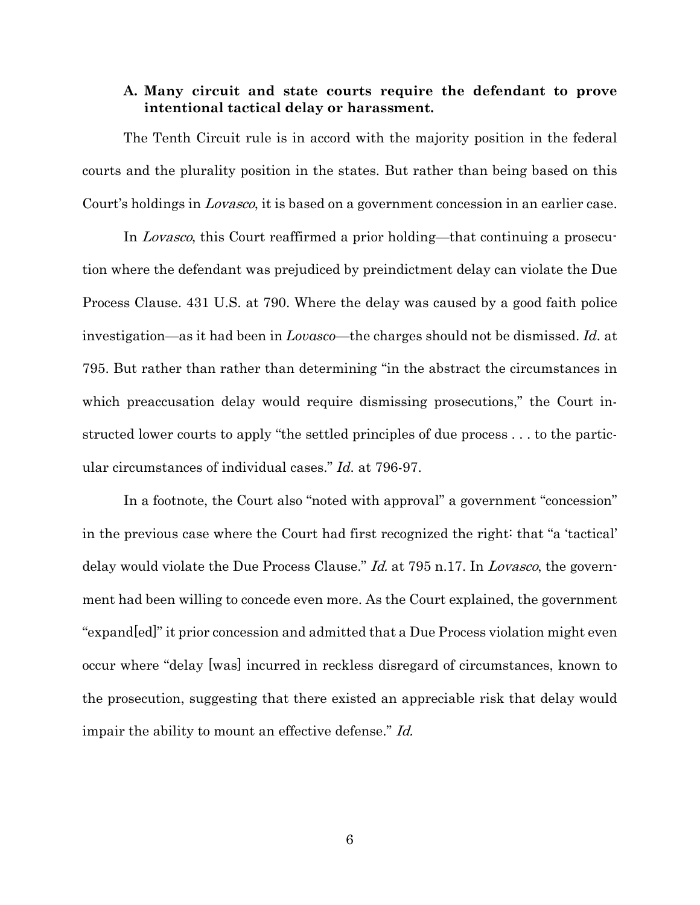## <span id="page-18-0"></span>**A. Many circuit and state courts require the defendant to prove intentional tactical delay or harassment.**

The Tenth Circuit rule is in accord with the majority position in the federal courts and the plurality position in the states. But rather than being based on this Court's holdings in Lovasco, it is based on a government concession in an earlier case.

In Lovasco, this Court reaffirmed a prior holding—that continuing a prosecution where the defendant was prejudiced by preindictment delay can violate the Due Process Clause. 431 U.S. at 790. Where the delay was caused by a good faith police investigation—as it had been in *Lovasco*—the charges should not be dismissed. *Id.* at 795. But rather than rather than determining "in the abstract the circumstances in which preaccusation delay would require dismissing prosecutions," the Court instructed lower courts to apply "the settled principles of due process . . . to the particular circumstances of individual cases." *Id.* at 796-97.

In a footnote, the Court also "noted with approval" a government "concession" in the previous case where the Court had first recognized the right: that "a 'tactical' delay would violate the Due Process Clause." *Id.* at 795 n.17. In *Lovasco*, the government had been willing to concede even more. As the Court explained, the government "expand[ed]" it prior concession and admitted that a Due Process violation might even occur where "delay [was] incurred in reckless disregard of circumstances, known to the prosecution, suggesting that there existed an appreciable risk that delay would impair the ability to mount an effective defense." Id.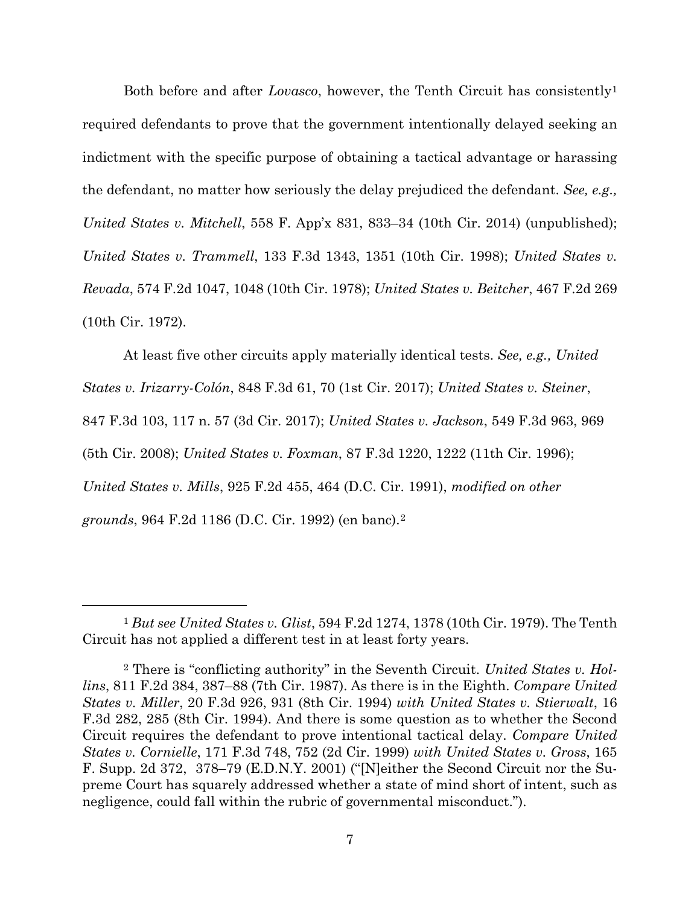Both before and after *Lovasco*, however, the Tenth Circuit has consistently[1](#page-19-0) required defendants to prove that the government intentionally delayed seeking an indictment with the specific purpose of obtaining a tactical advantage or harassing the defendant, no matter how seriously the delay prejudiced the defendant. *See, e.g., United States v. Mitchell*, 558 F. App'x 831, 833–34 (10th Cir. 2014) (unpublished); *United States v. Trammell*, 133 F.3d 1343, 1351 (10th Cir. 1998); *United States v. Revada*, 574 F.2d 1047, 1048 (10th Cir. 1978); *United States v. Beitcher*, 467 F.2d 269 (10th Cir. 1972).

At least five other circuits apply materially identical tests. *See, e.g., United States v. Irizarry-Colón*, 848 F.3d 61, 70 (1st Cir. 2017); *United States v. Steiner*, 847 F.3d 103, 117 n. 57 (3d Cir. 2017); *United States v. Jackson*, 549 F.3d 963, 969 (5th Cir. 2008); *United States v. Foxman*, 87 F.3d 1220, 1222 (11th Cir. 1996); *United States v. Mills*, 925 F.2d 455, 464 (D.C. Cir. 1991), *modified on other grounds*, 964 F.2d 1186 (D.C. Cir. 1992) (en banc).[2](#page-19-1)

<span id="page-19-0"></span><sup>1</sup> *But see United States v. Glist*, 594 F.2d 1274, 1378 (10th Cir. 1979). The Tenth Circuit has not applied a different test in at least forty years.

<span id="page-19-1"></span><sup>2</sup> There is "conflicting authority" in the Seventh Circuit. *United States v. Hollins*, 811 F.2d 384, 387–88 (7th Cir. 1987). As there is in the Eighth. *Compare United States v. Miller*, 20 F.3d 926, 931 (8th Cir. 1994) *with United States v. Stierwalt*, 16 F.3d 282, 285 (8th Cir. 1994). And there is some question as to whether the Second Circuit requires the defendant to prove intentional tactical delay. *Compare United States v. Cornielle*, 171 F.3d 748, 752 (2d Cir. 1999) *with United States v. Gross*, 165 F. Supp. 2d 372, 378–79 (E.D.N.Y. 2001) ("[N]either the Second Circuit nor the Supreme Court has squarely addressed whether a state of mind short of intent, such as negligence, could fall within the rubric of governmental misconduct.").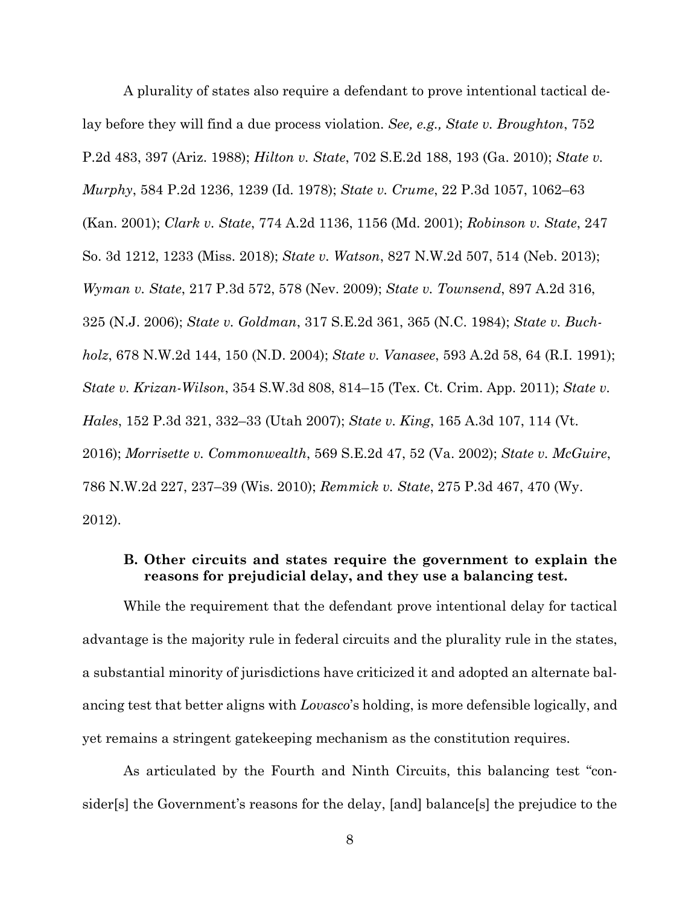A plurality of states also require a defendant to prove intentional tactical delay before they will find a due process violation. *See, e.g., State v. Broughton*, 752 P.2d 483, 397 (Ariz. 1988); *Hilton v. State*, 702 S.E.2d 188, 193 (Ga. 2010); *State v. Murphy*, 584 P.2d 1236, 1239 (Id. 1978); *State v. Crume*, 22 P.3d 1057, 1062–63 (Kan. 2001); *Clark v. State*, 774 A.2d 1136, 1156 (Md. 2001); *Robinson v. State*, 247 So. 3d 1212, 1233 (Miss. 2018); *State v. Watson*, 827 N.W.2d 507, 514 (Neb. 2013); *Wyman v. State*, 217 P.3d 572, 578 (Nev. 2009); *State v. Townsend*, 897 A.2d 316, 325 (N.J. 2006); *State v. Goldman*, 317 S.E.2d 361, 365 (N.C. 1984); *State v. Buchholz*, 678 N.W.2d 144, 150 (N.D. 2004); *State v. Vanasee*, 593 A.2d 58, 64 (R.I. 1991); *State v. Krizan-Wilson*, 354 S.W.3d 808, 814–15 (Tex. Ct. Crim. App. 2011); *State v. Hales*, 152 P.3d 321, 332–33 (Utah 2007); *State v. King*, 165 A.3d 107, 114 (Vt. 2016); *Morrisette v. Commonwealth*, 569 S.E.2d 47, 52 (Va. 2002); *State v. McGuire*, 786 N.W.2d 227, 237–39 (Wis. 2010); *Remmick v. State*, 275 P.3d 467, 470 (Wy. 2012).

## <span id="page-20-0"></span>**B. Other circuits and states require the government to explain the reasons for prejudicial delay, and they use a balancing test.**

While the requirement that the defendant prove intentional delay for tactical advantage is the majority rule in federal circuits and the plurality rule in the states, a substantial minority of jurisdictions have criticized it and adopted an alternate balancing test that better aligns with *Lovasco*'s holding, is more defensible logically, and yet remains a stringent gatekeeping mechanism as the constitution requires.

As articulated by the Fourth and Ninth Circuits, this balancing test "consider[s] the Government's reasons for the delay, [and] balance[s] the prejudice to the

8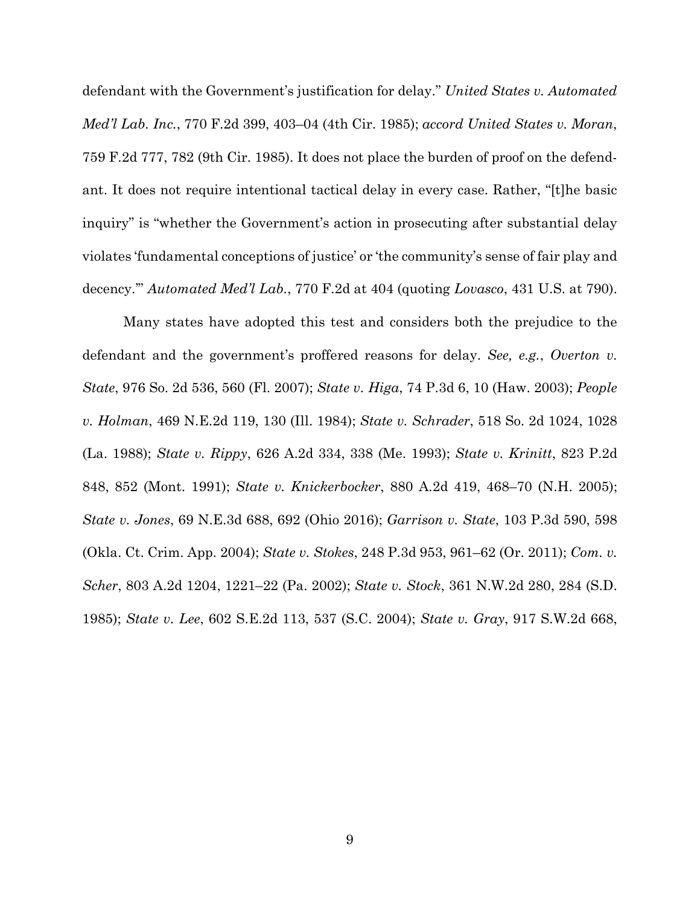defendant with the Government's justification for delay." *United States v. Automated Med'l Lab. Inc.*, 770 F.2d 399, 403–04 (4th Cir. 1985); *accord United States v. Moran*, 759 F.2d 777, 782 (9th Cir. 1985). It does not place the burden of proof on the defendant. It does not require intentional tactical delay in every case. Rather, "[t]he basic inquiry" is "whether the Government's action in prosecuting after substantial delay violates 'fundamental conceptions of justice' or 'the community's sense of fair play and decency.'" *Automated Med'l Lab.*, 770 F.2d at 404 (quoting *Lovasco*, 431 U.S. at 790).

Many states have adopted this test and considers both the prejudice to the defendant and the government's proffered reasons for delay. *See, e.g.*, *Overton v. State*, 976 So. 2d 536, 560 (Fl. 2007); *State v. Higa*, 74 P.3d 6, 10 (Haw. 2003); *People v. Holman*, 469 N.E.2d 119, 130 (Ill. 1984); *State v. Schrader*, 518 So. 2d 1024, 1028 (La. 1988); *State v. Rippy*, 626 A.2d 334, 338 (Me. 1993); *State v. Krinitt*, 823 P.2d 848, 852 (Mont. 1991); *State v. Knickerbocker*, 880 A.2d 419, 468–70 (N.H. 2005); *State v. Jones*, 69 N.E.3d 688, 692 (Ohio 2016); *Garrison v. State*, 103 P.3d 590, 598 (Okla. Ct. Crim. App. 2004); *State v. Stokes*, 248 P.3d 953, 961–62 (Or. 2011); *Com. v. Scher*, 803 A.2d 1204, 1221–22 (Pa. 2002); *State v. Stock*, 361 N.W.2d 280, 284 (S.D. 1985); *State v. Lee*, 602 S.E.2d 113, 537 (S.C. 2004); *State v. Gray*, 917 S.W.2d 668,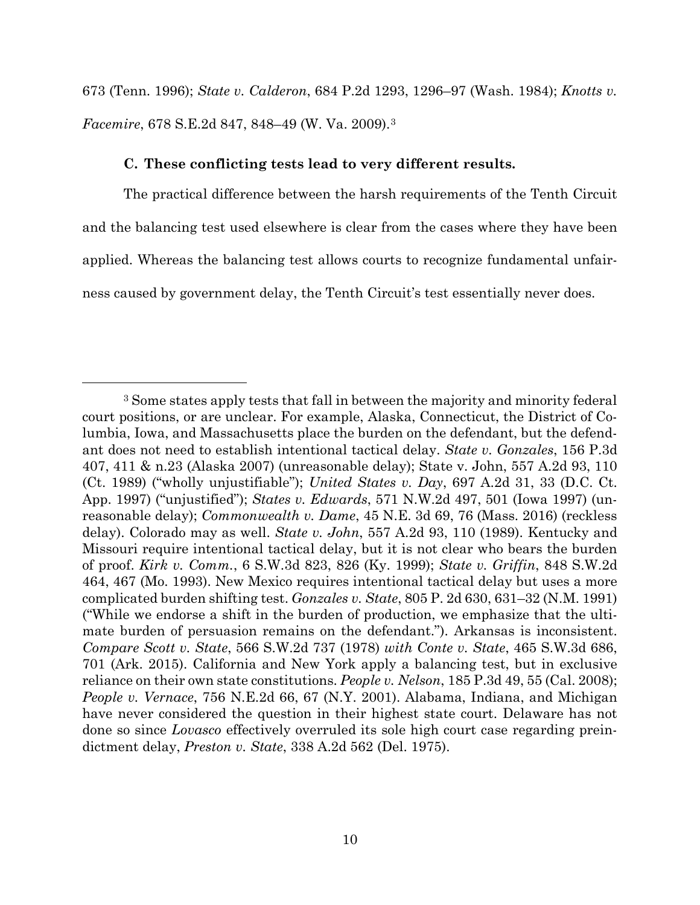673 (Tenn. 1996); *State v. Calderon*, 684 P.2d 1293, 1296–97 (Wash. 1984); *Knotts v. Facemire*, 678 S.E.2d 847, 848–49 (W. Va. 2009).[3](#page-22-1)

#### **C. These conflicting tests lead to very different results.**

 $\overline{a}$ 

<span id="page-22-0"></span>The practical difference between the harsh requirements of the Tenth Circuit and the balancing test used elsewhere is clear from the cases where they have been applied. Whereas the balancing test allows courts to recognize fundamental unfairness caused by government delay, the Tenth Circuit's test essentially never does.

<span id="page-22-1"></span><sup>3</sup> Some states apply tests that fall in between the majority and minority federal court positions, or are unclear. For example, Alaska, Connecticut, the District of Columbia, Iowa, and Massachusetts place the burden on the defendant, but the defendant does not need to establish intentional tactical delay. *State v. Gonzales*, 156 P.3d 407, 411 & n.23 (Alaska 2007) (unreasonable delay); State v. John, 557 A.2d 93, 110 (Ct. 1989) ("wholly unjustifiable"); *United States v. Day*, 697 A.2d 31, 33 (D.C. Ct. App. 1997) ("unjustified"); *States v. Edwards*, 571 N.W.2d 497, 501 (Iowa 1997) (unreasonable delay); *Commonwealth v. Dame*, 45 N.E. 3d 69, 76 (Mass. 2016) (reckless delay). Colorado may as well. *State v. John*, 557 A.2d 93, 110 (1989). Kentucky and Missouri require intentional tactical delay, but it is not clear who bears the burden of proof. *Kirk v. Comm.*, 6 S.W.3d 823, 826 (Ky. 1999); *State v. Griffin*, 848 S.W.2d 464, 467 (Mo. 1993). New Mexico requires intentional tactical delay but uses a more complicated burden shifting test. *Gonzales v. State*, 805 P. 2d 630, 631–32 (N.M. 1991) ("While we endorse a shift in the burden of production, we emphasize that the ultimate burden of persuasion remains on the defendant."). Arkansas is inconsistent. *Compare Scott v. State*, 566 S.W.2d 737 (1978) *with Conte v. State*, 465 S.W.3d 686, 701 (Ark. 2015). California and New York apply a balancing test, but in exclusive reliance on their own state constitutions. *People v. Nelson*, 185 P.3d 49, 55 (Cal. 2008); *People v. Vernace*, 756 N.E.2d 66, 67 (N.Y. 2001). Alabama, Indiana, and Michigan have never considered the question in their highest state court. Delaware has not done so since *Lovasco* effectively overruled its sole high court case regarding preindictment delay, *Preston v. State*, 338 A.2d 562 (Del. 1975).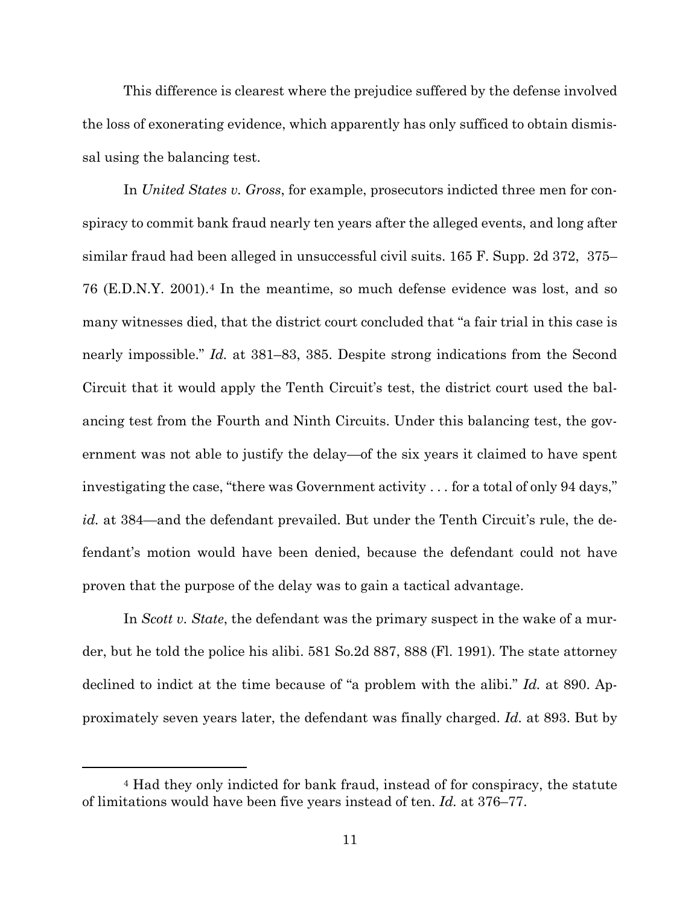This difference is clearest where the prejudice suffered by the defense involved the loss of exonerating evidence, which apparently has only sufficed to obtain dismissal using the balancing test.

In *United States v. Gross*, for example, prosecutors indicted three men for conspiracy to commit bank fraud nearly ten years after the alleged events, and long after similar fraud had been alleged in unsuccessful civil suits. 165 F. Supp. 2d 372, 375– 76 (E.D.N.Y. 2001).[4](#page-23-0) In the meantime, so much defense evidence was lost, and so many witnesses died, that the district court concluded that "a fair trial in this case is nearly impossible." *Id.* at 381–83, 385. Despite strong indications from the Second Circuit that it would apply the Tenth Circuit's test, the district court used the balancing test from the Fourth and Ninth Circuits. Under this balancing test, the government was not able to justify the delay—of the six years it claimed to have spent investigating the case, "there was Government activity . . . for a total of only 94 days," *id.* at 384—and the defendant prevailed. But under the Tenth Circuit's rule, the defendant's motion would have been denied, because the defendant could not have proven that the purpose of the delay was to gain a tactical advantage.

In *Scott v. State*, the defendant was the primary suspect in the wake of a murder, but he told the police his alibi. 581 So.2d 887, 888 (Fl. 1991). The state attorney declined to indict at the time because of "a problem with the alibi." *Id.* at 890. Approximately seven years later, the defendant was finally charged. *Id.* at 893. But by

<span id="page-23-0"></span><sup>4</sup> Had they only indicted for bank fraud, instead of for conspiracy, the statute of limitations would have been five years instead of ten. *Id.* at 376–77.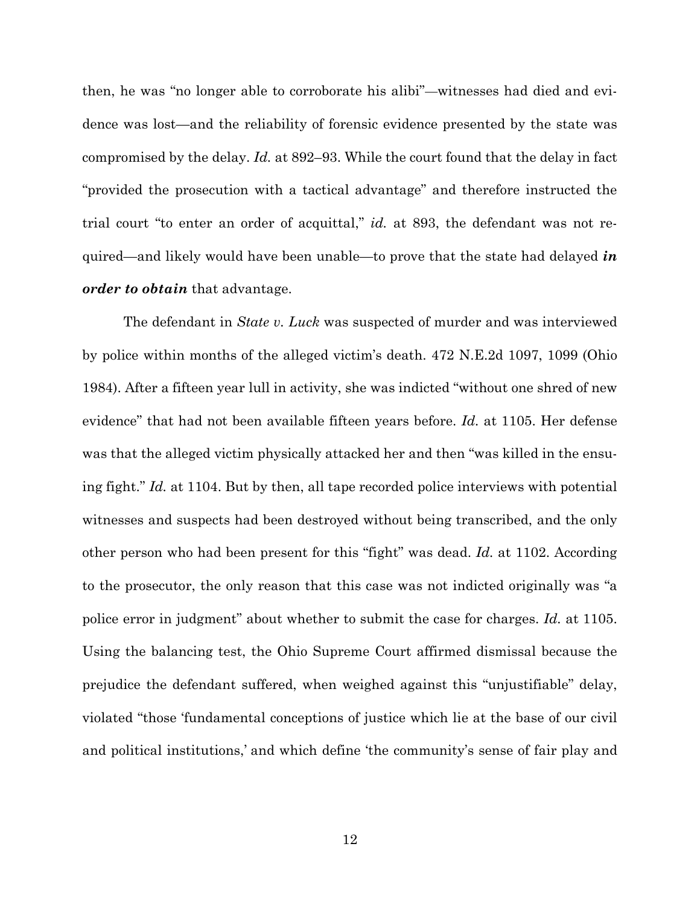then, he was "no longer able to corroborate his alibi"—witnesses had died and evidence was lost—and the reliability of forensic evidence presented by the state was compromised by the delay. *Id.* at 892–93. While the court found that the delay in fact "provided the prosecution with a tactical advantage" and therefore instructed the trial court "to enter an order of acquittal," *id.* at 893, the defendant was not required—and likely would have been unable—to prove that the state had delayed *in order to obtain* that advantage.

The defendant in *State v. Luck* was suspected of murder and was interviewed by police within months of the alleged victim's death. 472 N.E.2d 1097, 1099 (Ohio 1984). After a fifteen year lull in activity, she was indicted "without one shred of new evidence" that had not been available fifteen years before. *Id.* at 1105. Her defense was that the alleged victim physically attacked her and then "was killed in the ensuing fight." *Id.* at 1104. But by then, all tape recorded police interviews with potential witnesses and suspects had been destroyed without being transcribed, and the only other person who had been present for this "fight" was dead. *Id.* at 1102. According to the prosecutor, the only reason that this case was not indicted originally was "a police error in judgment" about whether to submit the case for charges. *Id.* at 1105. Using the balancing test, the Ohio Supreme Court affirmed dismissal because the prejudice the defendant suffered, when weighed against this "unjustifiable" delay, violated "those 'fundamental conceptions of justice which lie at the base of our civil and political institutions,' and which define 'the community's sense of fair play and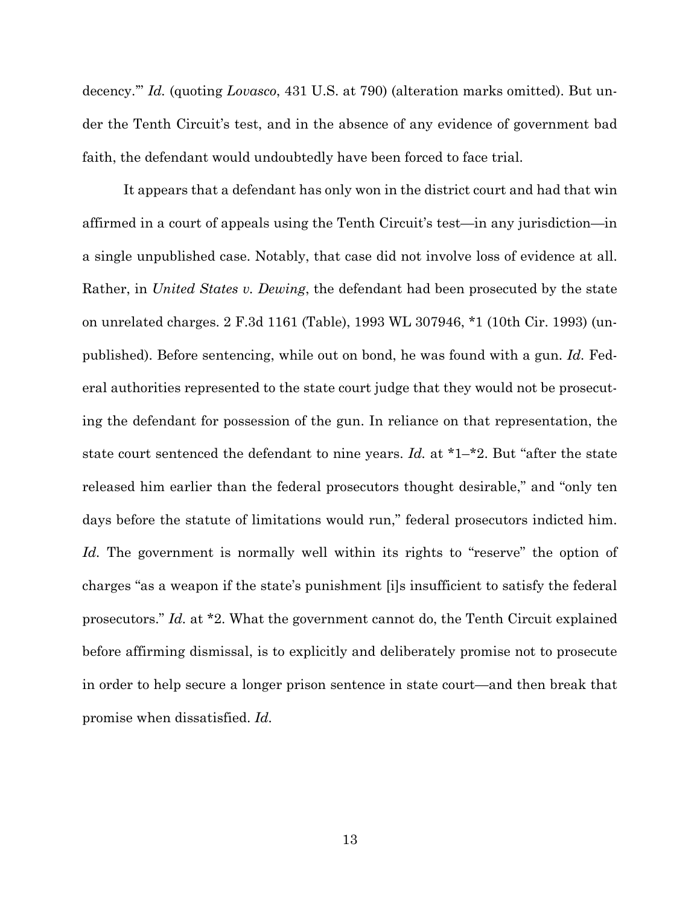decency.'" *Id.* (quoting *Lovasco*, 431 U.S. at 790) (alteration marks omitted). But under the Tenth Circuit's test, and in the absence of any evidence of government bad faith, the defendant would undoubtedly have been forced to face trial.

It appears that a defendant has only won in the district court and had that win affirmed in a court of appeals using the Tenth Circuit's test—in any jurisdiction—in a single unpublished case. Notably, that case did not involve loss of evidence at all. Rather, in *United States v. Dewing*, the defendant had been prosecuted by the state on unrelated charges. 2 F.3d 1161 (Table), 1993 WL 307946, \*1 (10th Cir. 1993) (unpublished). Before sentencing, while out on bond, he was found with a gun. *Id.* Federal authorities represented to the state court judge that they would not be prosecuting the defendant for possession of the gun. In reliance on that representation, the state court sentenced the defendant to nine years. *Id.* at \*1–\*2. But "after the state released him earlier than the federal prosecutors thought desirable," and "only ten days before the statute of limitations would run," federal prosecutors indicted him. *Id.* The government is normally well within its rights to "reserve" the option of charges "as a weapon if the state's punishment [i]s insufficient to satisfy the federal prosecutors." *Id.* at \*2. What the government cannot do, the Tenth Circuit explained before affirming dismissal, is to explicitly and deliberately promise not to prosecute in order to help secure a longer prison sentence in state court—and then break that promise when dissatisfied. *Id.*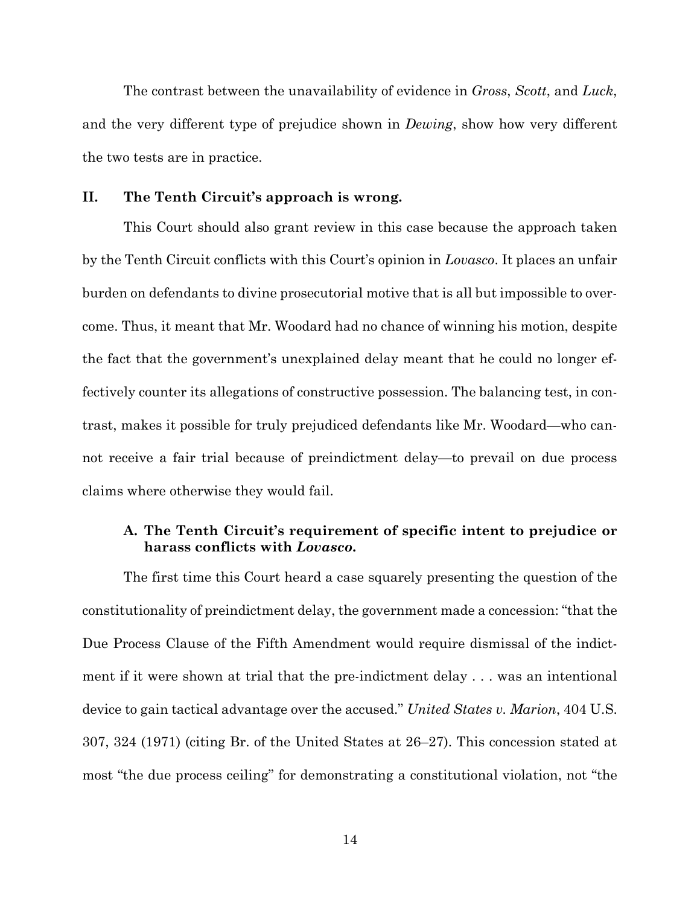The contrast between the unavailability of evidence in *Gross*, *Scott*, and *Luck*, and the very different type of prejudice shown in *Dewing*, show how very different the two tests are in practice.

### <span id="page-26-0"></span>**II. The Tenth Circuit's approach is wrong.**

This Court should also grant review in this case because the approach taken by the Tenth Circuit conflicts with this Court's opinion in *Lovasco*. It places an unfair burden on defendants to divine prosecutorial motive that is all but impossible to overcome. Thus, it meant that Mr. Woodard had no chance of winning his motion, despite the fact that the government's unexplained delay meant that he could no longer effectively counter its allegations of constructive possession. The balancing test, in contrast, makes it possible for truly prejudiced defendants like Mr. Woodard—who cannot receive a fair trial because of preindictment delay—to prevail on due process claims where otherwise they would fail.

## <span id="page-26-1"></span>**A. The Tenth Circuit's requirement of specific intent to prejudice or harass conflicts with** *Lovasco***.**

The first time this Court heard a case squarely presenting the question of the constitutionality of preindictment delay, the government made a concession: "that the Due Process Clause of the Fifth Amendment would require dismissal of the indictment if it were shown at trial that the pre-indictment delay . . . was an intentional device to gain tactical advantage over the accused." *United States v. Marion*, 404 U.S. 307, 324 (1971) (citing Br. of the United States at 26–27). This concession stated at most "the due process ceiling" for demonstrating a constitutional violation, not "the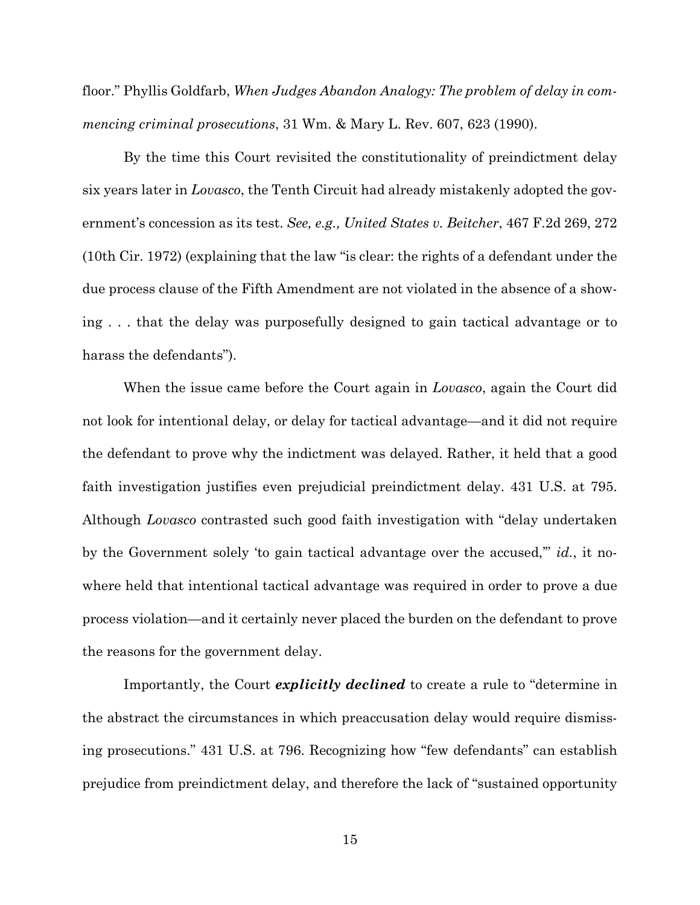floor." Phyllis Goldfarb, *When Judges Abandon Analogy: The problem of delay in commencing criminal prosecutions*, 31 Wm. & Mary L. Rev. 607, 623 (1990).

By the time this Court revisited the constitutionality of preindictment delay six years later in *Lovasco*, the Tenth Circuit had already mistakenly adopted the government's concession as its test. *See, e.g., United States v. Beitcher*, 467 F.2d 269, 272 (10th Cir. 1972) (explaining that the law "is clear: the rights of a defendant under the due process clause of the Fifth Amendment are not violated in the absence of a showing . . . that the delay was purposefully designed to gain tactical advantage or to harass the defendants").

When the issue came before the Court again in *Lovasco*, again the Court did not look for intentional delay, or delay for tactical advantage—and it did not require the defendant to prove why the indictment was delayed. Rather, it held that a good faith investigation justifies even prejudicial preindictment delay. 431 U.S. at 795. Although *Lovasco* contrasted such good faith investigation with "delay undertaken by the Government solely 'to gain tactical advantage over the accused,'" *id.*, it nowhere held that intentional tactical advantage was required in order to prove a due process violation—and it certainly never placed the burden on the defendant to prove the reasons for the government delay.

Importantly, the Court *explicitly declined* to create a rule to "determine in the abstract the circumstances in which preaccusation delay would require dismissing prosecutions." 431 U.S. at 796. Recognizing how "few defendants" can establish prejudice from preindictment delay, and therefore the lack of "sustained opportunity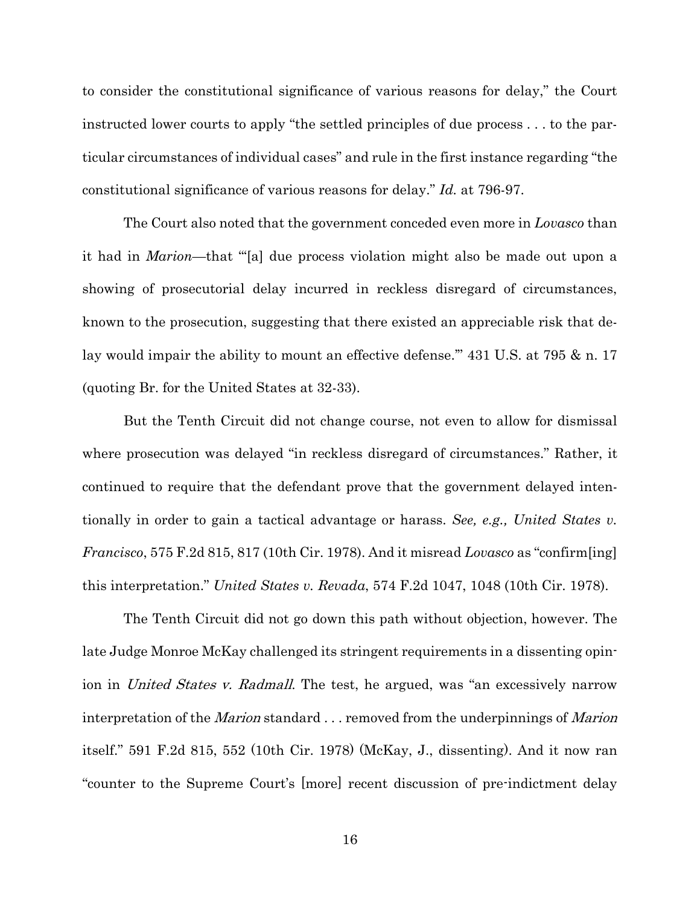to consider the constitutional significance of various reasons for delay," the Court instructed lower courts to apply "the settled principles of due process . . . to the particular circumstances of individual cases" and rule in the first instance regarding "the constitutional significance of various reasons for delay." *Id.* at 796-97.

The Court also noted that the government conceded even more in *Lovasco* than it had in *Marion*—that "'[a] due process violation might also be made out upon a showing of prosecutorial delay incurred in reckless disregard of circumstances, known to the prosecution, suggesting that there existed an appreciable risk that delay would impair the ability to mount an effective defense.'" 431 U.S. at 795 & n. 17 (quoting Br. for the United States at 32-33).

But the Tenth Circuit did not change course, not even to allow for dismissal where prosecution was delayed "in reckless disregard of circumstances." Rather, it continued to require that the defendant prove that the government delayed intentionally in order to gain a tactical advantage or harass. *See, e.g., United States v. Francisco*, 575 F.2d 815, 817 (10th Cir. 1978). And it misread *Lovasco* as "confirm[ing] this interpretation." *United States v. Revada*, 574 F.2d 1047, 1048 (10th Cir. 1978).

The Tenth Circuit did not go down this path without objection, however. The late Judge Monroe McKay challenged its stringent requirements in a dissenting opinion in United States v. Radmall. The test, he argued, was "an excessively narrow interpretation of the *Marion* standard . . . removed from the underpinnings of *Marion* itself." 591 F.2d 815, 552 (10th Cir. 1978) (McKay, J., dissenting). And it now ran "counter to the Supreme Court's [more] recent discussion of pre-indictment delay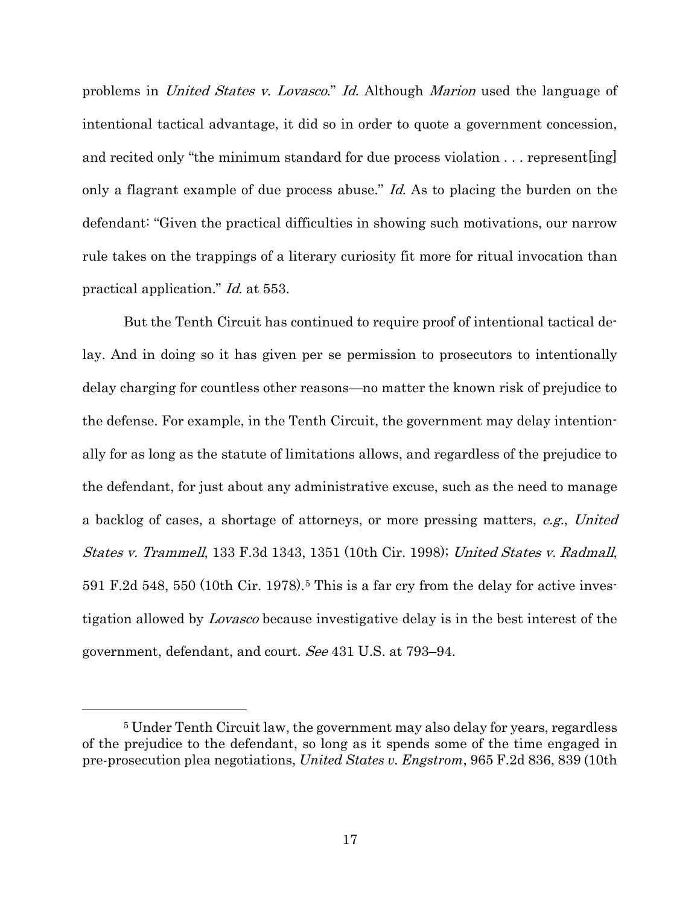problems in United States v. Lovasco." Id. Although Marion used the language of intentional tactical advantage, it did so in order to quote a government concession, and recited only "the minimum standard for due process violation ... represent [ing] only a flagrant example of due process abuse." Id. As to placing the burden on the defendant: "Given the practical difficulties in showing such motivations, our narrow rule takes on the trappings of a literary curiosity fit more for ritual invocation than practical application." Id. at 553.

But the Tenth Circuit has continued to require proof of intentional tactical delay. And in doing so it has given per se permission to prosecutors to intentionally delay charging for countless other reasons—no matter the known risk of prejudice to the defense. For example, in the Tenth Circuit, the government may delay intentionally for as long as the statute of limitations allows, and regardless of the prejudice to the defendant, for just about any administrative excuse, such as the need to manage a backlog of cases, a shortage of attorneys, or more pressing matters, e.g., United States v. Trammell, 133 F.3d 1343, 1351 (10th Cir. 1998); United States v. Radmall, [5](#page-29-0)91 F.2d 548, 550 (10th Cir. 1978).<sup>5</sup> This is a far cry from the delay for active investigation allowed by Lovasco because investigative delay is in the best interest of the government, defendant, and court. See 431 U.S. at 793–94.

<span id="page-29-0"></span><sup>5</sup> Under Tenth Circuit law, the government may also delay for years, regardless of the prejudice to the defendant, so long as it spends some of the time engaged in pre-prosecution plea negotiations, *United States v. Engstrom*, 965 F.2d 836, 839 (10th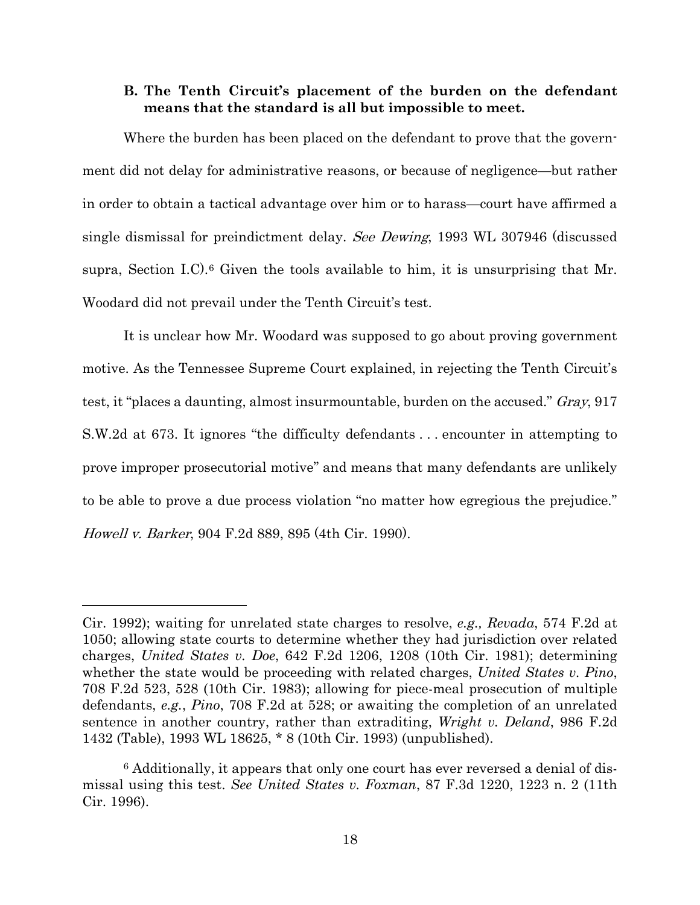## <span id="page-30-0"></span>**B. The Tenth Circuit's placement of the burden on the defendant means that the standard is all but impossible to meet.**

Where the burden has been placed on the defendant to prove that the government did not delay for administrative reasons, or because of negligence—but rather in order to obtain a tactical advantage over him or to harass—court have affirmed a single dismissal for preindictment delay. See Dewing, 1993 WL 307946 (discussed supra, Section I.C).<sup>[6](#page-30-1)</sup> Given the tools available to him, it is unsurprising that Mr. Woodard did not prevail under the Tenth Circuit's test.

It is unclear how Mr. Woodard was supposed to go about proving government motive. As the Tennessee Supreme Court explained, in rejecting the Tenth Circuit's test, it "places a daunting, almost insurmountable, burden on the accused." Gray, 917 S.W.2d at 673. It ignores "the difficulty defendants . . . encounter in attempting to prove improper prosecutorial motive" and means that many defendants are unlikely to be able to prove a due process violation "no matter how egregious the prejudice." Howell v. Barker, 904 F.2d 889, 895 (4th Cir. 1990).

Cir. 1992); waiting for unrelated state charges to resolve, *e.g., Revada*, 574 F.2d at 1050; allowing state courts to determine whether they had jurisdiction over related charges, *United States v. Doe*, 642 F.2d 1206, 1208 (10th Cir. 1981); determining whether the state would be proceeding with related charges, *United States v. Pino*, 708 F.2d 523, 528 (10th Cir. 1983); allowing for piece-meal prosecution of multiple defendants, *e.g.*, *Pino*, 708 F.2d at 528; or awaiting the completion of an unrelated sentence in another country, rather than extraditing, *Wright v. Deland*, 986 F.2d 1432 (Table), 1993 WL 18625, \* 8 (10th Cir. 1993) (unpublished).

<span id="page-30-1"></span><sup>6</sup> Additionally, it appears that only one court has ever reversed a denial of dismissal using this test. *See United States v. Foxman*, 87 F.3d 1220, 1223 n. 2 (11th Cir. 1996).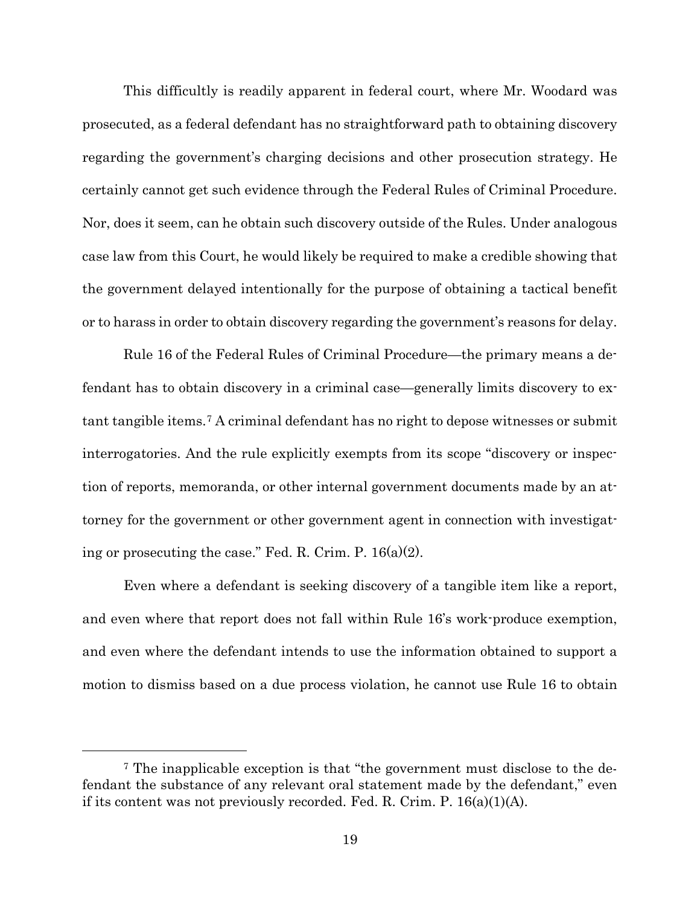This difficultly is readily apparent in federal court, where Mr. Woodard was prosecuted, as a federal defendant has no straightforward path to obtaining discovery regarding the government's charging decisions and other prosecution strategy. He certainly cannot get such evidence through the Federal Rules of Criminal Procedure. Nor, does it seem, can he obtain such discovery outside of the Rules. Under analogous case law from this Court, he would likely be required to make a credible showing that the government delayed intentionally for the purpose of obtaining a tactical benefit or to harass in order to obtain discovery regarding the government's reasons for delay.

Rule 16 of the Federal Rules of Criminal Procedure—the primary means a defendant has to obtain discovery in a criminal case—generally limits discovery to extant tangible items.[7](#page-31-0) A criminal defendant has no right to depose witnesses or submit interrogatories. And the rule explicitly exempts from its scope "discovery or inspection of reports, memoranda, or other internal government documents made by an attorney for the government or other government agent in connection with investigating or prosecuting the case." Fed. R. Crim. P.  $16(a)(2)$ .

Even where a defendant is seeking discovery of a tangible item like a report, and even where that report does not fall within Rule 16's work-produce exemption, and even where the defendant intends to use the information obtained to support a motion to dismiss based on a due process violation, he cannot use Rule 16 to obtain

<span id="page-31-0"></span><sup>7</sup> The inapplicable exception is that "the government must disclose to the defendant the substance of any relevant oral statement made by the defendant," even if its content was not previously recorded. Fed. R. Crim. P.  $16(a)(1)(A)$ .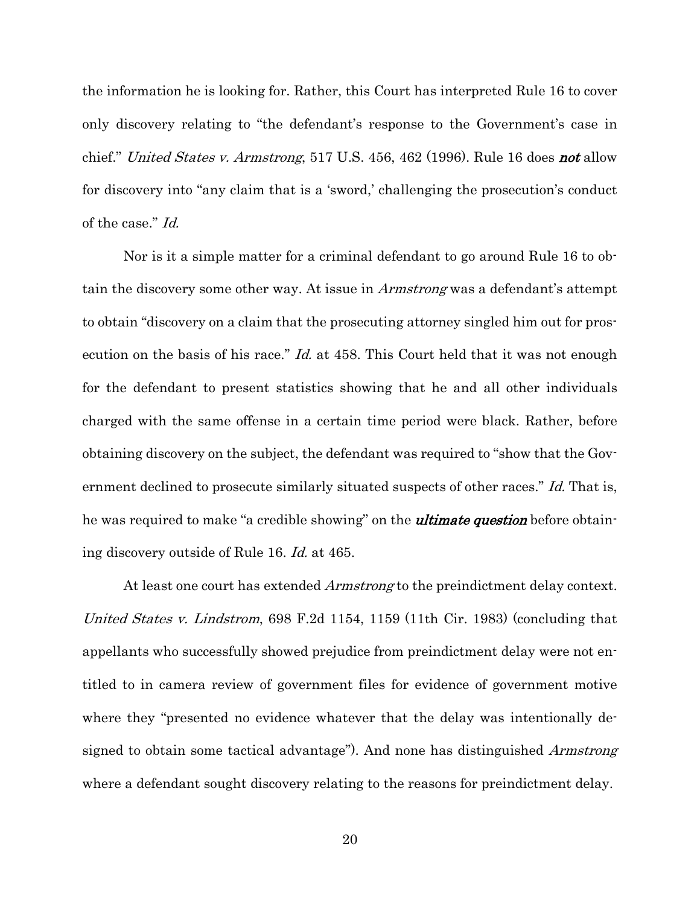the information he is looking for. Rather, this Court has interpreted Rule 16 to cover only discovery relating to "the defendant's response to the Government's case in chief." United States v. Armstrong, 517 U.S. 456, 462 (1996). Rule 16 does not allow for discovery into "any claim that is a 'sword,' challenging the prosecution's conduct of the case." Id.

Nor is it a simple matter for a criminal defendant to go around Rule 16 to obtain the discovery some other way. At issue in Armstrong was a defendant's attempt to obtain "discovery on a claim that the prosecuting attorney singled him out for prosecution on the basis of his race." *Id.* at 458. This Court held that it was not enough for the defendant to present statistics showing that he and all other individuals charged with the same offense in a certain time period were black. Rather, before obtaining discovery on the subject, the defendant was required to "show that the Government declined to prosecute similarly situated suspects of other races." Id. That is, he was required to make "a credible showing" on the **ultimate question** before obtaining discovery outside of Rule 16. Id. at 465.

At least one court has extended *Armstrong* to the preindictment delay context. United States v. Lindstrom, 698 F.2d 1154, 1159 (11th Cir. 1983) (concluding that appellants who successfully showed prejudice from preindictment delay were not entitled to in camera review of government files for evidence of government motive where they "presented no evidence whatever that the delay was intentionally designed to obtain some tactical advantage"). And none has distinguished Armstrong where a defendant sought discovery relating to the reasons for preindictment delay.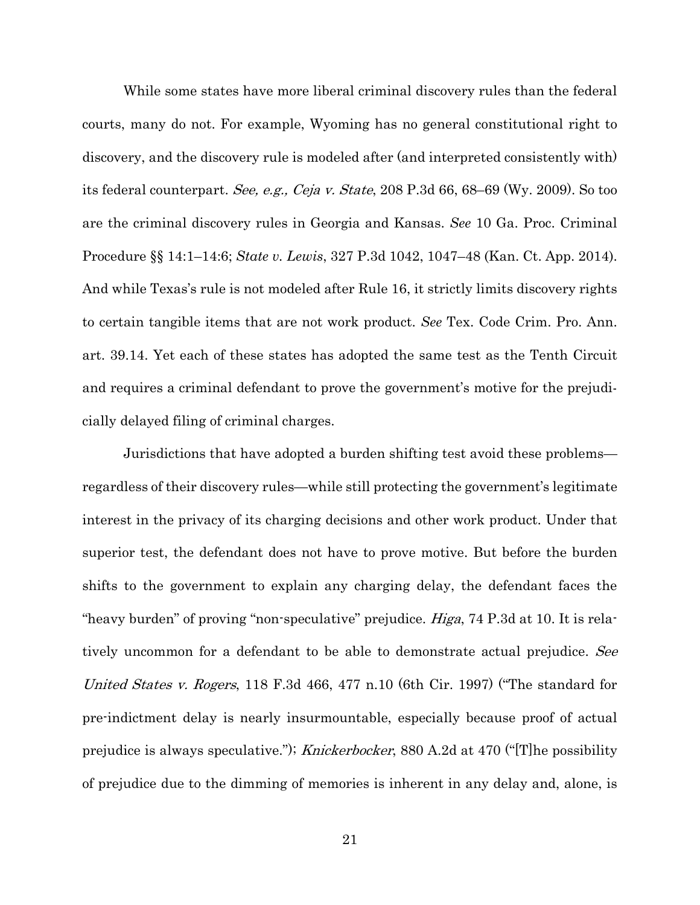While some states have more liberal criminal discovery rules than the federal courts, many do not. For example, Wyoming has no general constitutional right to discovery, and the discovery rule is modeled after (and interpreted consistently with) its federal counterpart. See, e.g., Ceja v. State, 208 P.3d 66, 68–69 (Wy. 2009). So too are the criminal discovery rules in Georgia and Kansas. *See* 10 Ga. Proc. Criminal Procedure §§ 14:1–14:6; *State v. Lewis*, 327 P.3d 1042, 1047–48 (Kan. Ct. App. 2014). And while Texas's rule is not modeled after Rule 16, it strictly limits discovery rights to certain tangible items that are not work product. *See* Tex. Code Crim. Pro. Ann. art. 39.14. Yet each of these states has adopted the same test as the Tenth Circuit and requires a criminal defendant to prove the government's motive for the prejudicially delayed filing of criminal charges.

Jurisdictions that have adopted a burden shifting test avoid these problems regardless of their discovery rules—while still protecting the government's legitimate interest in the privacy of its charging decisions and other work product. Under that superior test, the defendant does not have to prove motive. But before the burden shifts to the government to explain any charging delay, the defendant faces the "heavy burden" of proving "non-speculative" prejudice. *Higa*, 74 P.3d at 10. It is relatively uncommon for a defendant to be able to demonstrate actual prejudice. See United States v. Rogers, 118 F.3d 466, 477 n.10 (6th Cir. 1997) ("The standard for pre-indictment delay is nearly insurmountable, especially because proof of actual prejudice is always speculative."); Knickerbocker, 880 A.2d at 470  $"$ [T] he possibility of prejudice due to the dimming of memories is inherent in any delay and, alone, is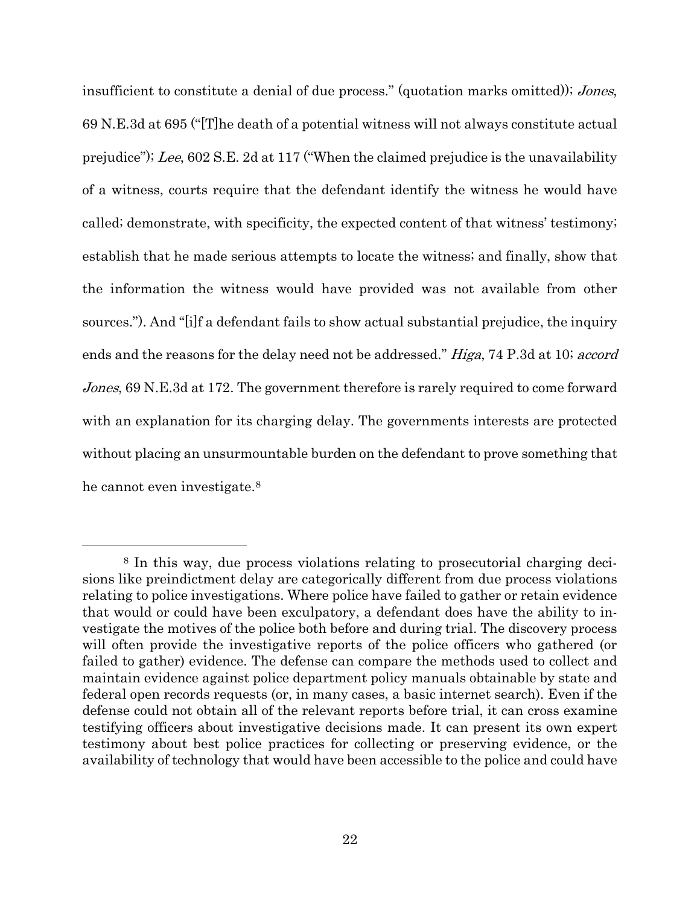insufficient to constitute a denial of due process." (quotation marks omitted)); Jones, 69 N.E.3d at 695 ("[T]he death of a potential witness will not always constitute actual prejudice"); Lee, 602 S.E. 2d at 117 ("When the claimed prejudice is the unavailability of a witness, courts require that the defendant identify the witness he would have called; demonstrate, with specificity, the expected content of that witness' testimony; establish that he made serious attempts to locate the witness; and finally, show that the information the witness would have provided was not available from other sources."). And "[i]f a defendant fails to show actual substantial prejudice, the inquiry ends and the reasons for the delay need not be addressed." Higa, 74 P.3d at 10; accord Jones, 69 N.E.3d at 172. The government therefore is rarely required to come forward with an explanation for its charging delay. The governments interests are protected without placing an unsurmountable burden on the defendant to prove something that he cannot even investigate.[8](#page-34-0)

<span id="page-34-0"></span><sup>8</sup> In this way, due process violations relating to prosecutorial charging decisions like preindictment delay are categorically different from due process violations relating to police investigations. Where police have failed to gather or retain evidence that would or could have been exculpatory, a defendant does have the ability to investigate the motives of the police both before and during trial. The discovery process will often provide the investigative reports of the police officers who gathered (or failed to gather) evidence. The defense can compare the methods used to collect and maintain evidence against police department policy manuals obtainable by state and federal open records requests (or, in many cases, a basic internet search). Even if the defense could not obtain all of the relevant reports before trial, it can cross examine testifying officers about investigative decisions made. It can present its own expert testimony about best police practices for collecting or preserving evidence, or the availability of technology that would have been accessible to the police and could have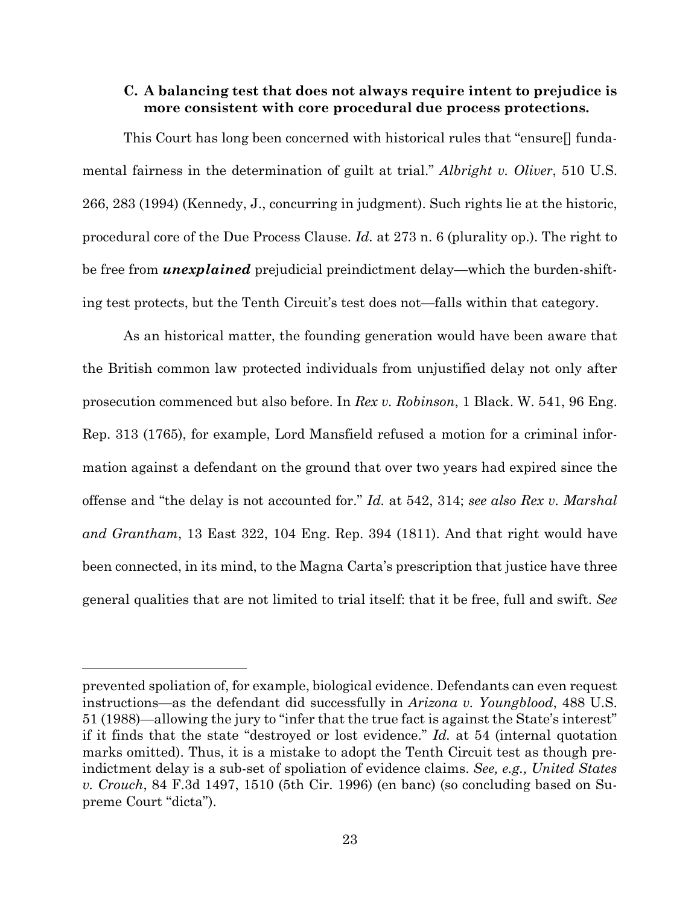## <span id="page-35-0"></span>**C. A balancing test that does not always require intent to prejudice is more consistent with core procedural due process protections.**

This Court has long been concerned with historical rules that "ensure[] fundamental fairness in the determination of guilt at trial." *Albright v. Oliver*, 510 U.S. 266, 283 (1994) (Kennedy, J., concurring in judgment). Such rights lie at the historic, procedural core of the Due Process Clause. *Id.* at 273 n. 6 (plurality op.). The right to be free from *unexplained* prejudicial preindictment delay—which the burden-shifting test protects, but the Tenth Circuit's test does not—falls within that category.

As an historical matter, the founding generation would have been aware that the British common law protected individuals from unjustified delay not only after prosecution commenced but also before. In *Rex v. Robinson*, 1 Black. W. 541, 96 Eng. Rep. 313 (1765), for example, Lord Mansfield refused a motion for a criminal information against a defendant on the ground that over two years had expired since the offense and "the delay is not accounted for." *Id.* at 542, 314; *see also Rex v. Marshal and Grantham*, 13 East 322, 104 Eng. Rep. 394 (1811). And that right would have been connected, in its mind, to the Magna Carta's prescription that justice have three general qualities that are not limited to trial itself: that it be free, full and swift. *See* 

prevented spoliation of, for example, biological evidence. Defendants can even request instructions—as the defendant did successfully in *Arizona v. Youngblood*, 488 U.S. 51 (1988)—allowing the jury to "infer that the true fact is against the State's interest" if it finds that the state "destroyed or lost evidence." *Id.* at 54 (internal quotation marks omitted). Thus, it is a mistake to adopt the Tenth Circuit test as though preindictment delay is a sub-set of spoliation of evidence claims. *See, e.g., United States v. Crouch*, 84 F.3d 1497, 1510 (5th Cir. 1996) (en banc) (so concluding based on Supreme Court "dicta").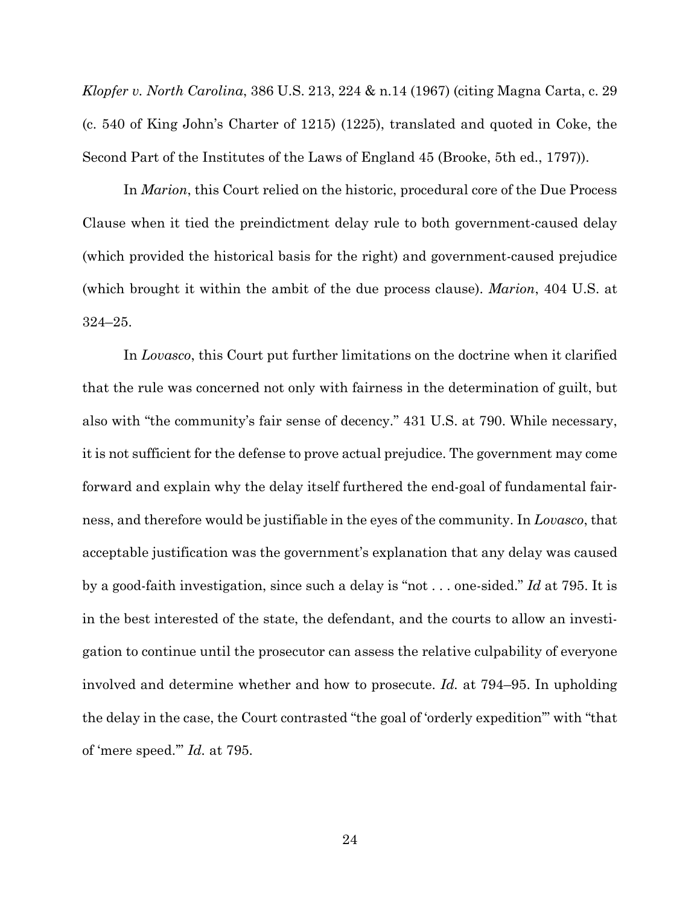*Klopfer v. North Carolina*, 386 U.S. 213, 224 & n.14 (1967) (citing Magna Carta, c. 29 (c. 540 of King John's Charter of 1215) (1225), translated and quoted in Coke, the Second Part of the Institutes of the Laws of England 45 (Brooke, 5th ed., 1797)).

In *Marion*, this Court relied on the historic, procedural core of the Due Process Clause when it tied the preindictment delay rule to both government-caused delay (which provided the historical basis for the right) and government-caused prejudice (which brought it within the ambit of the due process clause). *Marion*, 404 U.S. at 324–25.

In *Lovasco*, this Court put further limitations on the doctrine when it clarified that the rule was concerned not only with fairness in the determination of guilt, but also with "the community's fair sense of decency." 431 U.S. at 790. While necessary, it is not sufficient for the defense to prove actual prejudice. The government may come forward and explain why the delay itself furthered the end-goal of fundamental fairness, and therefore would be justifiable in the eyes of the community. In *Lovasco*, that acceptable justification was the government's explanation that any delay was caused by a good-faith investigation, since such a delay is "not . . . one-sided." *Id* at 795. It is in the best interested of the state, the defendant, and the courts to allow an investigation to continue until the prosecutor can assess the relative culpability of everyone involved and determine whether and how to prosecute. *Id.* at 794–95. In upholding the delay in the case, the Court contrasted "the goal of 'orderly expedition'" with "that of 'mere speed.'" *Id.* at 795.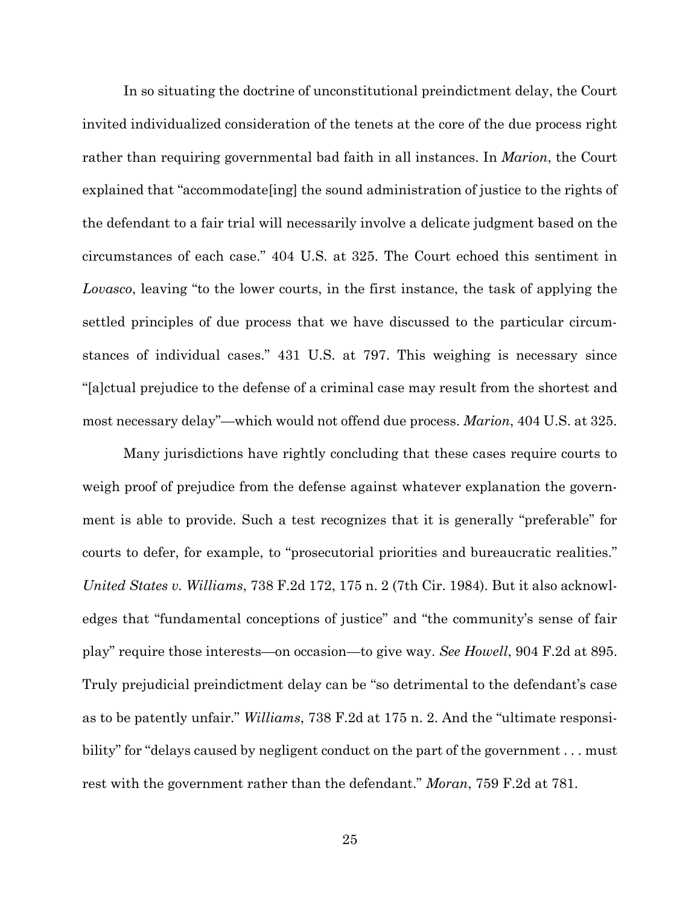In so situating the doctrine of unconstitutional preindictment delay, the Court invited individualized consideration of the tenets at the core of the due process right rather than requiring governmental bad faith in all instances. In *Marion*, the Court explained that "accommodate[ing] the sound administration of justice to the rights of the defendant to a fair trial will necessarily involve a delicate judgment based on the circumstances of each case." 404 U.S. at 325. The Court echoed this sentiment in *Lovasco*, leaving "to the lower courts, in the first instance, the task of applying the settled principles of due process that we have discussed to the particular circumstances of individual cases." 431 U.S. at 797. This weighing is necessary since "[a]ctual prejudice to the defense of a criminal case may result from the shortest and most necessary delay"—which would not offend due process. *Marion*, 404 U.S. at 325.

Many jurisdictions have rightly concluding that these cases require courts to weigh proof of prejudice from the defense against whatever explanation the government is able to provide. Such a test recognizes that it is generally "preferable" for courts to defer, for example, to "prosecutorial priorities and bureaucratic realities." *United States v. Williams*, 738 F.2d 172, 175 n. 2 (7th Cir. 1984). But it also acknowledges that "fundamental conceptions of justice" and "the community's sense of fair play" require those interests—on occasion—to give way. *See Howell*, 904 F.2d at 895. Truly prejudicial preindictment delay can be "so detrimental to the defendant's case as to be patently unfair." *Williams*, 738 F.2d at 175 n. 2. And the "ultimate responsibility" for "delays caused by negligent conduct on the part of the government . . . must rest with the government rather than the defendant." *Moran*, 759 F.2d at 781.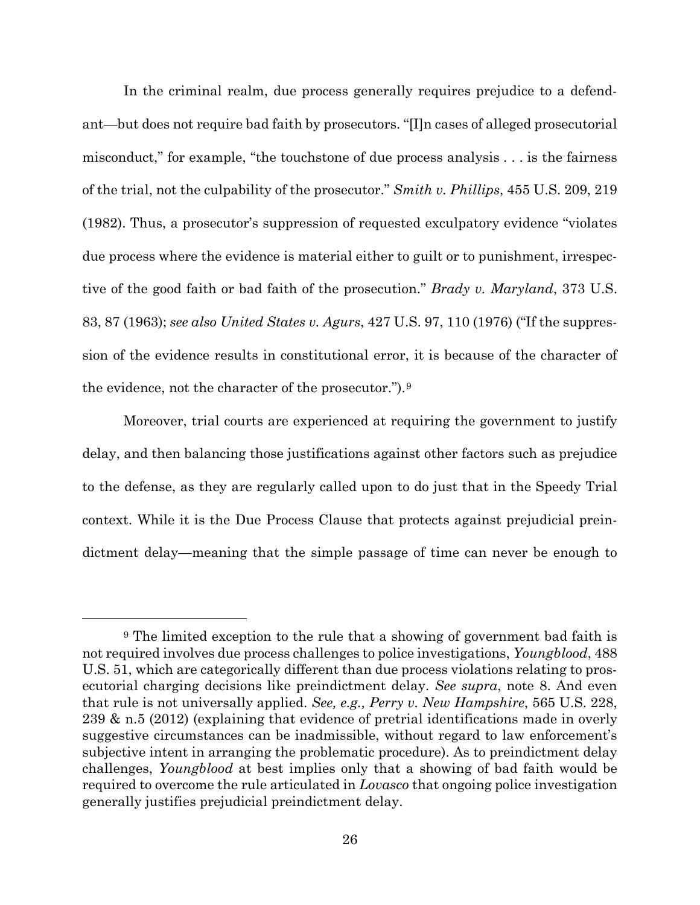In the criminal realm, due process generally requires prejudice to a defendant—but does not require bad faith by prosecutors. "[I]n cases of alleged prosecutorial misconduct," for example, "the touchstone of due process analysis . . . is the fairness of the trial, not the culpability of the prosecutor." *Smith v. Phillips*, 455 U.S. 209, 219 (1982). Thus, a prosecutor's suppression of requested exculpatory evidence "violates due process where the evidence is material either to guilt or to punishment, irrespective of the good faith or bad faith of the prosecution." *Brady v. Maryland*, 373 U.S. 83, 87 (1963); *see also United States v. Agurs*, 427 U.S. 97, 110 (1976) ("If the suppression of the evidence results in constitutional error, it is because of the character of the evidence, not the character of the prosecutor.").[9](#page-38-0)

Moreover, trial courts are experienced at requiring the government to justify delay, and then balancing those justifications against other factors such as prejudice to the defense, as they are regularly called upon to do just that in the Speedy Trial context. While it is the Due Process Clause that protects against prejudicial preindictment delay—meaning that the simple passage of time can never be enough to

<span id="page-38-0"></span><sup>&</sup>lt;sup>9</sup> The limited exception to the rule that a showing of government bad faith is not required involves due process challenges to police investigations, *Youngblood*, 488 U.S. 51, which are categorically different than due process violations relating to prosecutorial charging decisions like preindictment delay. *See supra*, note 8. And even that rule is not universally applied. *See, e.g., Perry v. New Hampshire*, 565 U.S. 228, 239 & n.5 (2012) (explaining that evidence of pretrial identifications made in overly suggestive circumstances can be inadmissible, without regard to law enforcement's subjective intent in arranging the problematic procedure). As to preindictment delay challenges, *Youngblood* at best implies only that a showing of bad faith would be required to overcome the rule articulated in *Lovasco* that ongoing police investigation generally justifies prejudicial preindictment delay.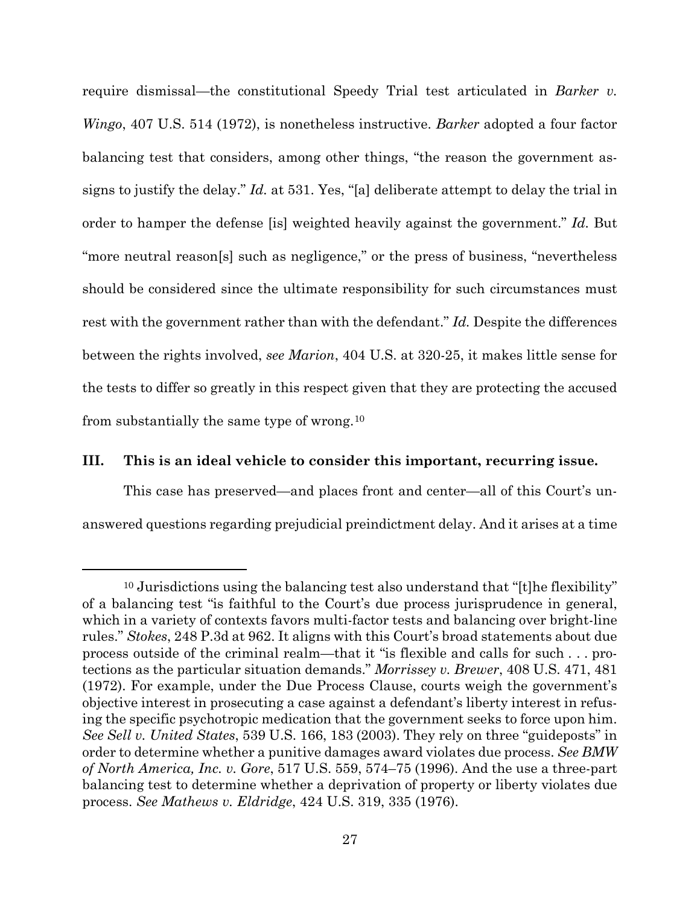require dismissal—the constitutional Speedy Trial test articulated in *Barker v. Wingo*, 407 U.S. 514 (1972), is nonetheless instructive. *Barker* adopted a four factor balancing test that considers, among other things, "the reason the government assigns to justify the delay." *Id.* at 531. Yes, "[a] deliberate attempt to delay the trial in order to hamper the defense [is] weighted heavily against the government." *Id.* But "more neutral reason[s] such as negligence," or the press of business, "nevertheless should be considered since the ultimate responsibility for such circumstances must rest with the government rather than with the defendant." *Id.* Despite the differences between the rights involved, *see Marion*, 404 U.S. at 320-25, it makes little sense for the tests to differ so greatly in this respect given that they are protecting the accused from substantially the same type of wrong.[10](#page-39-1)

## <span id="page-39-0"></span>**III. This is an ideal vehicle to consider this important, recurring issue.**

 $\overline{a}$ 

This case has preserved—and places front and center—all of this Court's unanswered questions regarding prejudicial preindictment delay. And it arises at a time

<span id="page-39-1"></span><sup>10</sup> Jurisdictions using the balancing test also understand that "[t]he flexibility" of a balancing test "is faithful to the Court's due process jurisprudence in general, which in a variety of contexts favors multi-factor tests and balancing over bright-line rules." *Stokes*, 248 P.3d at 962. It aligns with this Court's broad statements about due process outside of the criminal realm—that it "is flexible and calls for such . . . protections as the particular situation demands." *Morrissey v. Brewer*, 408 U.S. 471, 481 (1972). For example, under the Due Process Clause, courts weigh the government's objective interest in prosecuting a case against a defendant's liberty interest in refusing the specific psychotropic medication that the government seeks to force upon him. *See Sell v. United States*, 539 U.S. 166, 183 (2003). They rely on three "guideposts" in order to determine whether a punitive damages award violates due process. *See BMW of North America, Inc. v. Gore*, 517 U.S. 559, 574–75 (1996). And the use a three-part balancing test to determine whether a deprivation of property or liberty violates due process. *See Mathews v. Eldridge*, 424 U.S. 319, 335 (1976).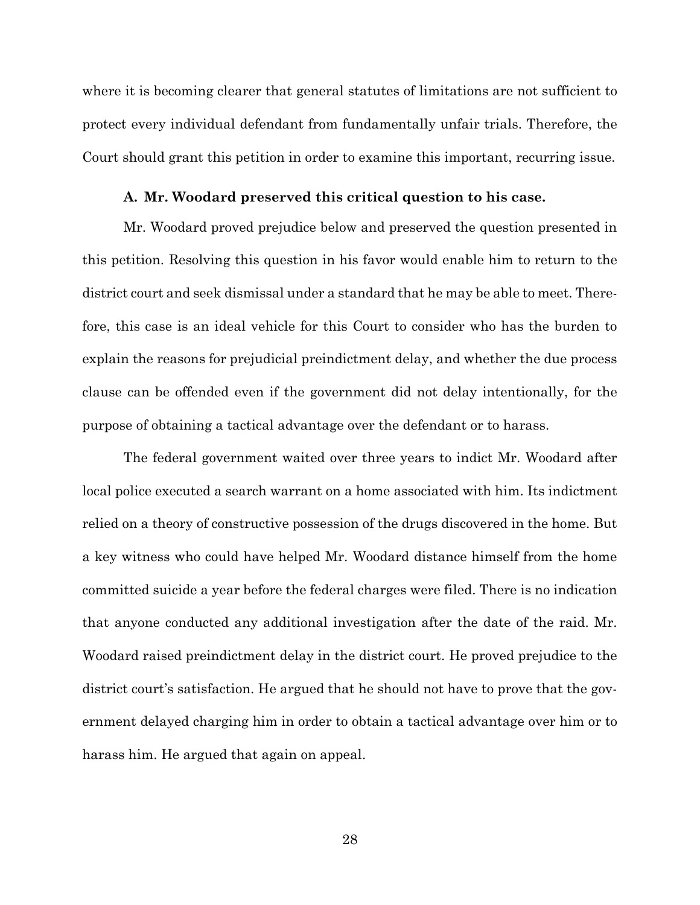where it is becoming clearer that general statutes of limitations are not sufficient to protect every individual defendant from fundamentally unfair trials. Therefore, the Court should grant this petition in order to examine this important, recurring issue.

#### **A. Mr. Woodard preserved this critical question to his case.**

<span id="page-40-0"></span>Mr. Woodard proved prejudice below and preserved the question presented in this petition. Resolving this question in his favor would enable him to return to the district court and seek dismissal under a standard that he may be able to meet. Therefore, this case is an ideal vehicle for this Court to consider who has the burden to explain the reasons for prejudicial preindictment delay, and whether the due process clause can be offended even if the government did not delay intentionally, for the purpose of obtaining a tactical advantage over the defendant or to harass.

The federal government waited over three years to indict Mr. Woodard after local police executed a search warrant on a home associated with him. Its indictment relied on a theory of constructive possession of the drugs discovered in the home. But a key witness who could have helped Mr. Woodard distance himself from the home committed suicide a year before the federal charges were filed. There is no indication that anyone conducted any additional investigation after the date of the raid. Mr. Woodard raised preindictment delay in the district court. He proved prejudice to the district court's satisfaction. He argued that he should not have to prove that the government delayed charging him in order to obtain a tactical advantage over him or to harass him. He argued that again on appeal.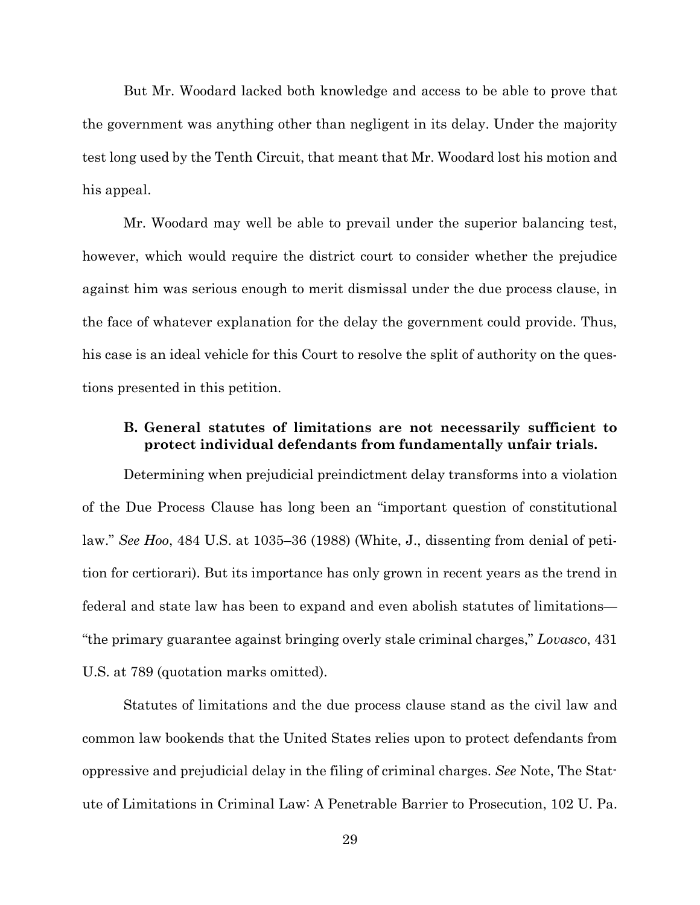But Mr. Woodard lacked both knowledge and access to be able to prove that the government was anything other than negligent in its delay. Under the majority test long used by the Tenth Circuit, that meant that Mr. Woodard lost his motion and his appeal.

Mr. Woodard may well be able to prevail under the superior balancing test, however, which would require the district court to consider whether the prejudice against him was serious enough to merit dismissal under the due process clause, in the face of whatever explanation for the delay the government could provide. Thus, his case is an ideal vehicle for this Court to resolve the split of authority on the questions presented in this petition.

# <span id="page-41-0"></span>**B. General statutes of limitations are not necessarily sufficient to protect individual defendants from fundamentally unfair trials.**

Determining when prejudicial preindictment delay transforms into a violation of the Due Process Clause has long been an "important question of constitutional law." *See Hoo*, 484 U.S. at 1035–36 (1988) (White, J., dissenting from denial of petition for certiorari). But its importance has only grown in recent years as the trend in federal and state law has been to expand and even abolish statutes of limitations— "the primary guarantee against bringing overly stale criminal charges," *Lovasco*, 431 U.S. at 789 (quotation marks omitted).

Statutes of limitations and the due process clause stand as the civil law and common law bookends that the United States relies upon to protect defendants from oppressive and prejudicial delay in the filing of criminal charges. *See* Note, The Statute of Limitations in Criminal Law: A Penetrable Barrier to Prosecution, 102 U. Pa.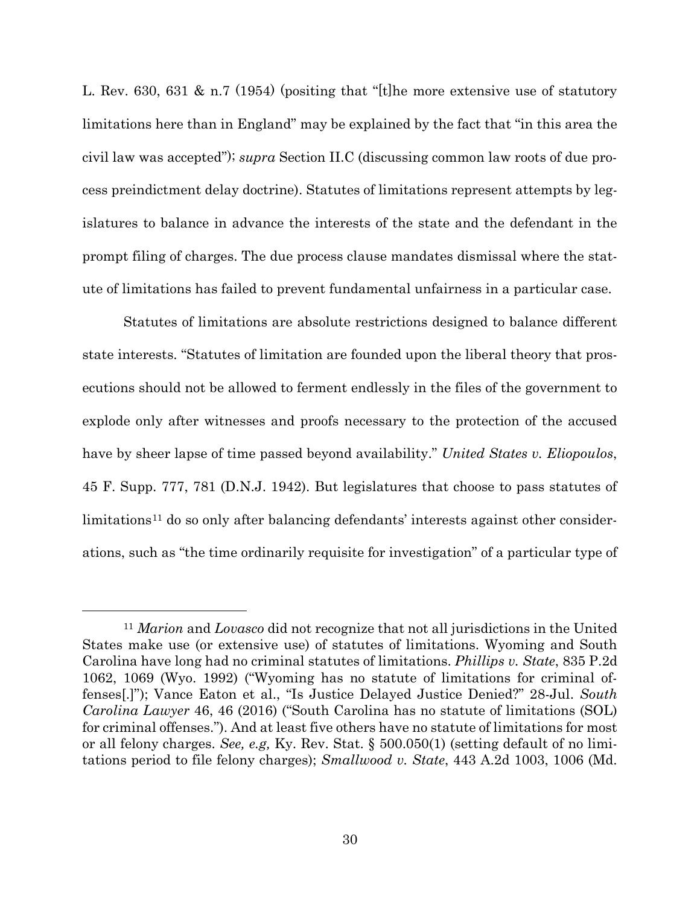L. Rev. 630, 631 & n.7 (1954) (positing that "[t]he more extensive use of statutory limitations here than in England" may be explained by the fact that "in this area the civil law was accepted"); *supra* Section II.C (discussing common law roots of due process preindictment delay doctrine). Statutes of limitations represent attempts by legislatures to balance in advance the interests of the state and the defendant in the prompt filing of charges. The due process clause mandates dismissal where the statute of limitations has failed to prevent fundamental unfairness in a particular case.

Statutes of limitations are absolute restrictions designed to balance different state interests. "Statutes of limitation are founded upon the liberal theory that prosecutions should not be allowed to ferment endlessly in the files of the government to explode only after witnesses and proofs necessary to the protection of the accused have by sheer lapse of time passed beyond availability." *United States v. Eliopoulos*, 45 F. Supp. 777, 781 (D.N.J. 1942). But legislatures that choose to pass statutes of limitations<sup>[11](#page-42-0)</sup> do so only after balancing defendants' interests against other considerations, such as "the time ordinarily requisite for investigation" of a particular type of

<span id="page-42-0"></span><sup>11</sup> *Marion* and *Lovasco* did not recognize that not all jurisdictions in the United States make use (or extensive use) of statutes of limitations. Wyoming and South Carolina have long had no criminal statutes of limitations. *Phillips v. State*, 835 P.2d 1062, 1069 (Wyo. 1992) ("Wyoming has no statute of limitations for criminal offenses[.]"); Vance Eaton et al., "Is Justice Delayed Justice Denied?" 28-Jul. *South Carolina Lawyer* 46, 46 (2016) ("South Carolina has no statute of limitations (SOL) for criminal offenses."). And at least five others have no statute of limitations for most or all felony charges. *See, e.g,* Ky. Rev. Stat. § 500.050(1) (setting default of no limitations period to file felony charges); *Smallwood v. State*, 443 A.2d 1003, 1006 (Md.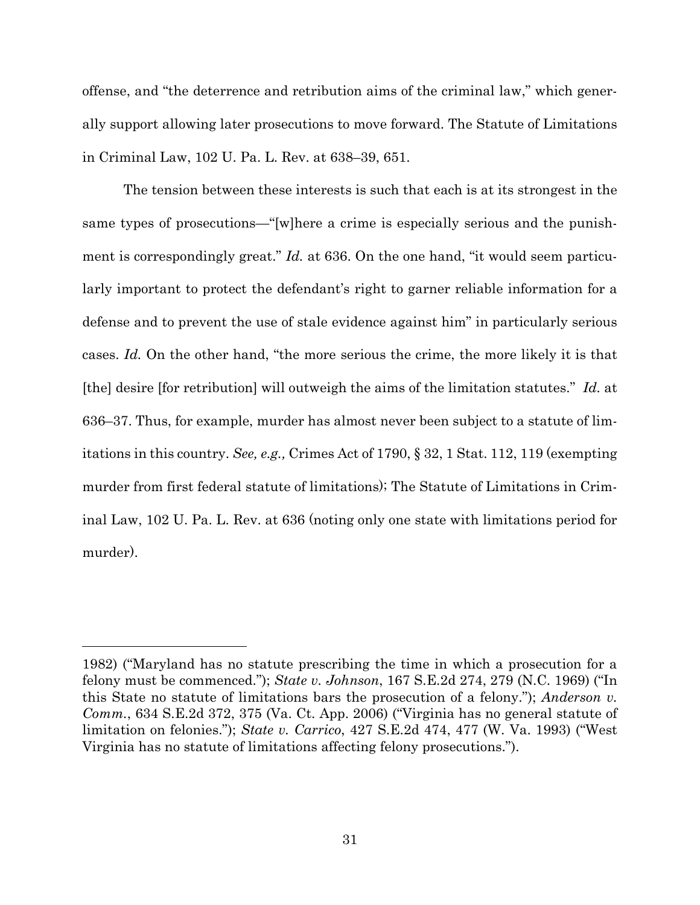offense, and "the deterrence and retribution aims of the criminal law," which generally support allowing later prosecutions to move forward. The Statute of Limitations in Criminal Law, 102 U. Pa. L. Rev. at 638–39, 651.

The tension between these interests is such that each is at its strongest in the same types of prosecutions—"[w]here a crime is especially serious and the punishment is correspondingly great." *Id.* at 636. On the one hand, "it would seem particularly important to protect the defendant's right to garner reliable information for a defense and to prevent the use of stale evidence against him" in particularly serious cases. *Id.* On the other hand, "the more serious the crime, the more likely it is that [the] desire [for retribution] will outweigh the aims of the limitation statutes." *Id.* at 636–37. Thus, for example, murder has almost never been subject to a statute of limitations in this country. *See, e.g.,* Crimes Act of 1790, § 32, 1 Stat. 112, 119 (exempting murder from first federal statute of limitations); The Statute of Limitations in Criminal Law, 102 U. Pa. L. Rev. at 636 (noting only one state with limitations period for murder).

<sup>1982)</sup> ("Maryland has no statute prescribing the time in which a prosecution for a felony must be commenced."); *State v. Johnson*, 167 S.E.2d 274, 279 (N.C. 1969) ("In this State no statute of limitations bars the prosecution of a felony."); *Anderson v. Comm.*, 634 S.E.2d 372, 375 (Va. Ct. App. 2006) ("Virginia has no general statute of limitation on felonies."); *State v. Carrico*, 427 S.E.2d 474, 477 (W. Va. 1993) ("West Virginia has no statute of limitations affecting felony prosecutions.").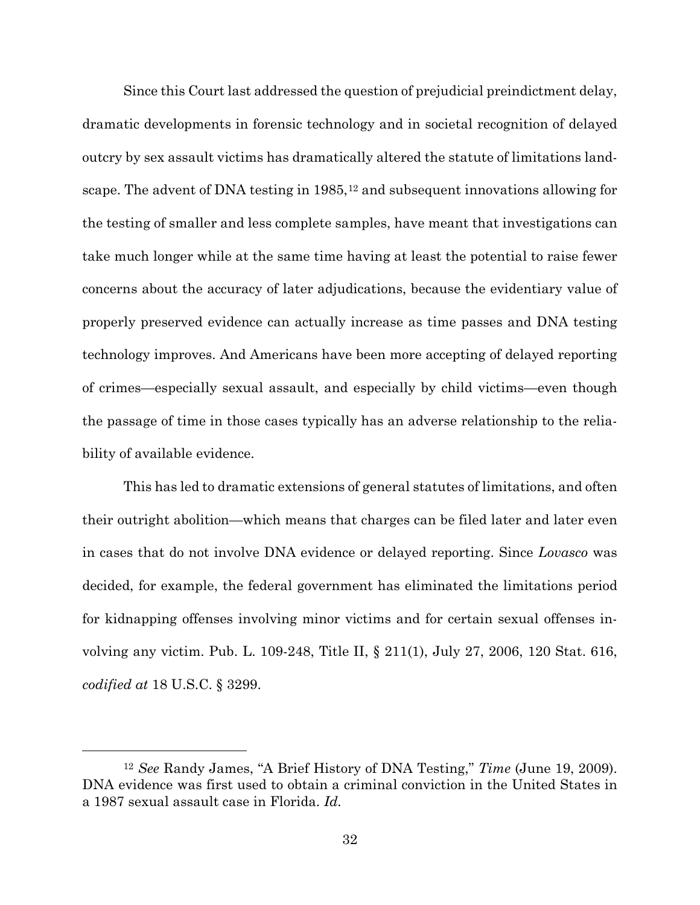Since this Court last addressed the question of prejudicial preindictment delay, dramatic developments in forensic technology and in societal recognition of delayed outcry by sex assault victims has dramatically altered the statute of limitations land-scape. The advent of DNA testing in 1985,<sup>[12](#page-44-0)</sup> and subsequent innovations allowing for the testing of smaller and less complete samples, have meant that investigations can take much longer while at the same time having at least the potential to raise fewer concerns about the accuracy of later adjudications, because the evidentiary value of properly preserved evidence can actually increase as time passes and DNA testing technology improves. And Americans have been more accepting of delayed reporting of crimes—especially sexual assault, and especially by child victims—even though the passage of time in those cases typically has an adverse relationship to the reliability of available evidence.

This has led to dramatic extensions of general statutes of limitations, and often their outright abolition—which means that charges can be filed later and later even in cases that do not involve DNA evidence or delayed reporting. Since *Lovasco* was decided, for example, the federal government has eliminated the limitations period for kidnapping offenses involving minor victims and for certain sexual offenses involving any victim. Pub. L. 109-248, Title II, § 211(1), July 27, 2006, 120 Stat. 616, *codified at* 18 U.S.C. § 3299.

<span id="page-44-0"></span><sup>12</sup> *See* Randy James, "A Brief History of DNA Testing," *Time* (June 19, 2009). DNA evidence was first used to obtain a criminal conviction in the United States in a 1987 sexual assault case in Florida. *Id.*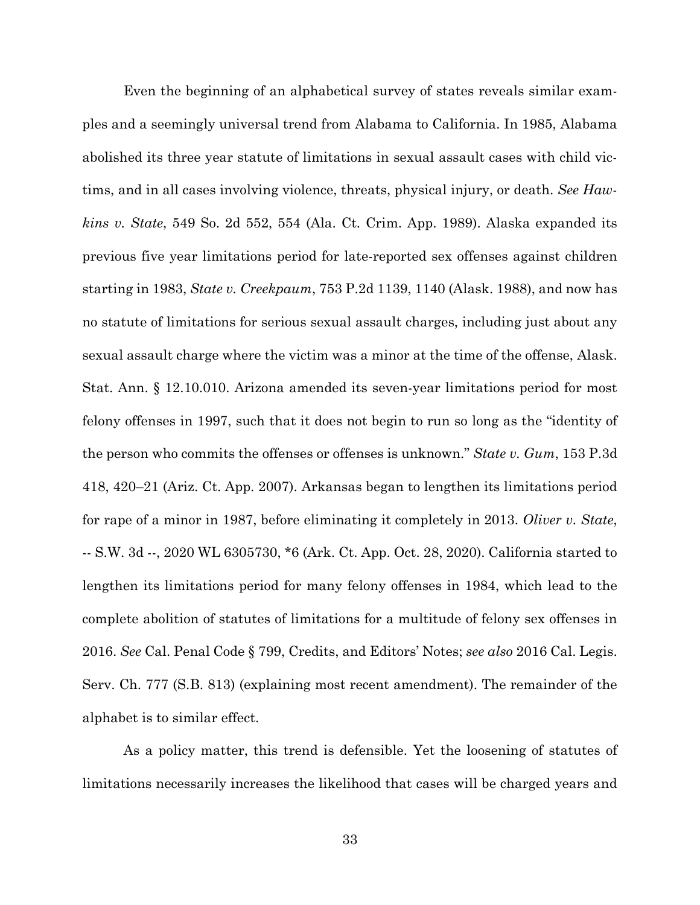Even the beginning of an alphabetical survey of states reveals similar examples and a seemingly universal trend from Alabama to California. In 1985, Alabama abolished its three year statute of limitations in sexual assault cases with child victims, and in all cases involving violence, threats, physical injury, or death. *See Hawkins v. State*, 549 So. 2d 552, 554 (Ala. Ct. Crim. App. 1989). Alaska expanded its previous five year limitations period for late-reported sex offenses against children starting in 1983, *State v. Creekpaum*, 753 P.2d 1139, 1140 (Alask. 1988), and now has no statute of limitations for serious sexual assault charges, including just about any sexual assault charge where the victim was a minor at the time of the offense, Alask. Stat. Ann. § 12.10.010. Arizona amended its seven-year limitations period for most felony offenses in 1997, such that it does not begin to run so long as the "identity of the person who commits the offenses or offenses is unknown." *State v. Gum*, 153 P.3d 418, 420–21 (Ariz. Ct. App. 2007). Arkansas began to lengthen its limitations period for rape of a minor in 1987, before eliminating it completely in 2013. *Oliver v. State*, -- S.W. 3d --, 2020 WL 6305730, \*6 (Ark. Ct. App. Oct. 28, 2020). California started to lengthen its limitations period for many felony offenses in 1984, which lead to the complete abolition of statutes of limitations for a multitude of felony sex offenses in 2016. *See* Cal. Penal Code § 799, Credits, and Editors' Notes; *see also* 2016 Cal. Legis. Serv. Ch. 777 (S.B. 813) (explaining most recent amendment). The remainder of the alphabet is to similar effect.

As a policy matter, this trend is defensible. Yet the loosening of statutes of limitations necessarily increases the likelihood that cases will be charged years and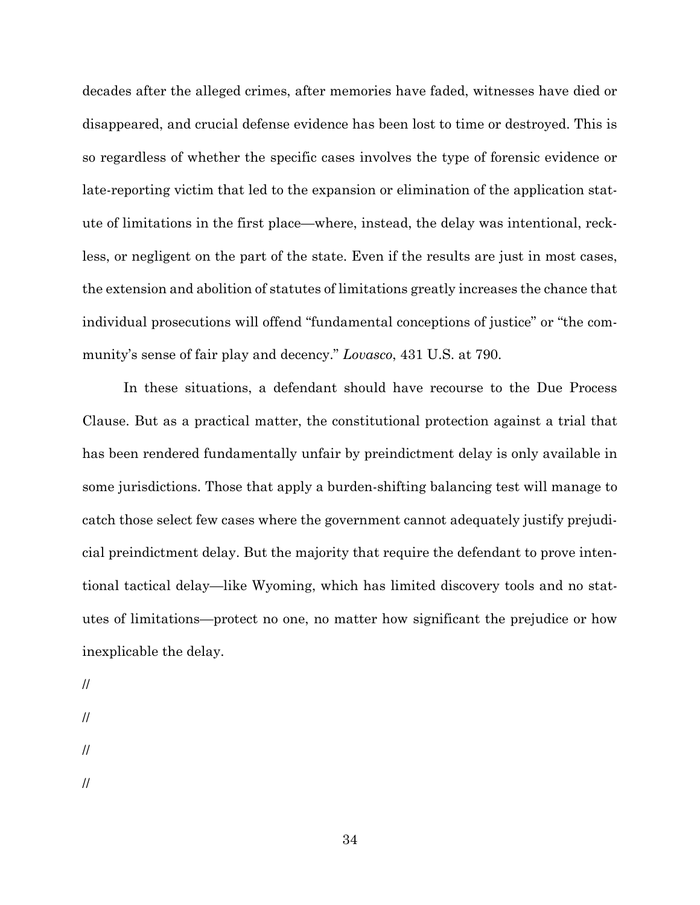decades after the alleged crimes, after memories have faded, witnesses have died or disappeared, and crucial defense evidence has been lost to time or destroyed. This is so regardless of whether the specific cases involves the type of forensic evidence or late-reporting victim that led to the expansion or elimination of the application statute of limitations in the first place—where, instead, the delay was intentional, reckless, or negligent on the part of the state. Even if the results are just in most cases, the extension and abolition of statutes of limitations greatly increases the chance that individual prosecutions will offend "fundamental conceptions of justice" or "the community's sense of fair play and decency." *Lovasco*, 431 U.S. at 790.

In these situations, a defendant should have recourse to the Due Process Clause. But as a practical matter, the constitutional protection against a trial that has been rendered fundamentally unfair by preindictment delay is only available in some jurisdictions. Those that apply a burden-shifting balancing test will manage to catch those select few cases where the government cannot adequately justify prejudicial preindictment delay. But the majority that require the defendant to prove intentional tactical delay—like Wyoming, which has limited discovery tools and no statutes of limitations—protect no one, no matter how significant the prejudice or how inexplicable the delay.

// // // //